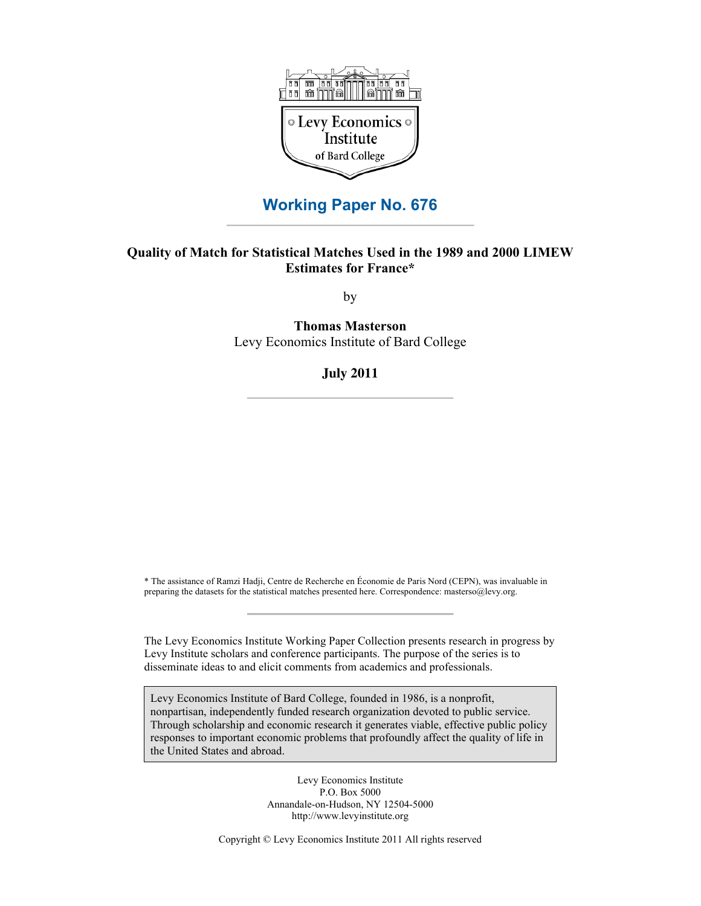

### **Working Paper No. 676**

#### **Quality of Match for Statistical Matches Used in the 1989 and 2000 LIMEW Estimates for France\***

by

**Thomas Masterson** Levy Economics Institute of Bard College

**July 2011**

\* The assistance of Ramzi Hadji, Centre de Recherche en Économie de Paris Nord (CEPN), was invaluable in preparing the datasets for the statistical matches presented here. Correspondence: masterso@levy.org.

The Levy Economics Institute Working Paper Collection presents research in progress by Levy Institute scholars and conference participants. The purpose of the series is to disseminate ideas to and elicit comments from academics and professionals.

Levy Economics Institute of Bard College, founded in 1986, is a nonprofit, nonpartisan, independently funded research organization devoted to public service. Through scholarship and economic research it generates viable, effective public policy responses to important economic problems that profoundly affect the quality of life in the United States and abroad.

> Levy Economics Institute P.O. Box 5000 Annandale-on-Hudson, NY 12504-5000 http://www.levyinstitute.org

Copyright © Levy Economics Institute 2011 All rights reserved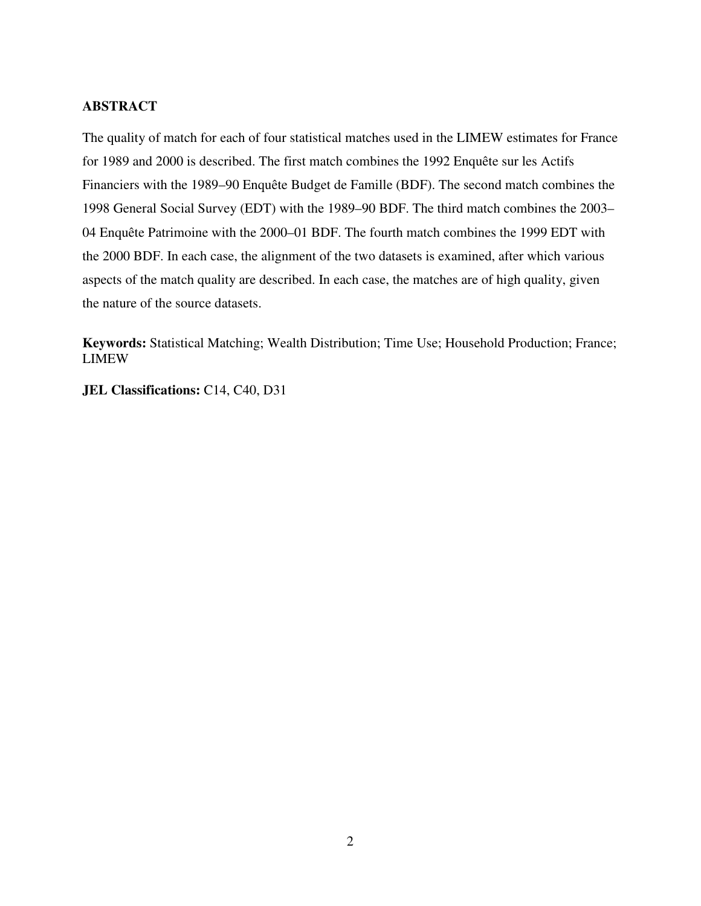### **ABSTRACT**

The quality of match for each of four statistical matches used in the LIMEW estimates for France for 1989 and 2000 is described. The first match combines the 1992 Enquête sur les Actifs Financiers with the 1989–90 Enquête Budget de Famille (BDF). The second match combines the 1998 General Social Survey (EDT) with the 1989–90 BDF. The third match combines the 2003– 04 Enquête Patrimoine with the 2000–01 BDF. The fourth match combines the 1999 EDT with the 2000 BDF. In each case, the alignment of the two datasets is examined, after which various aspects of the match quality are described. In each case, the matches are of high quality, given the nature of the source datasets.

**Keywords:** Statistical Matching; Wealth Distribution; Time Use; Household Production; France; LIMEW

**JEL Classifications:** C14, C40, D31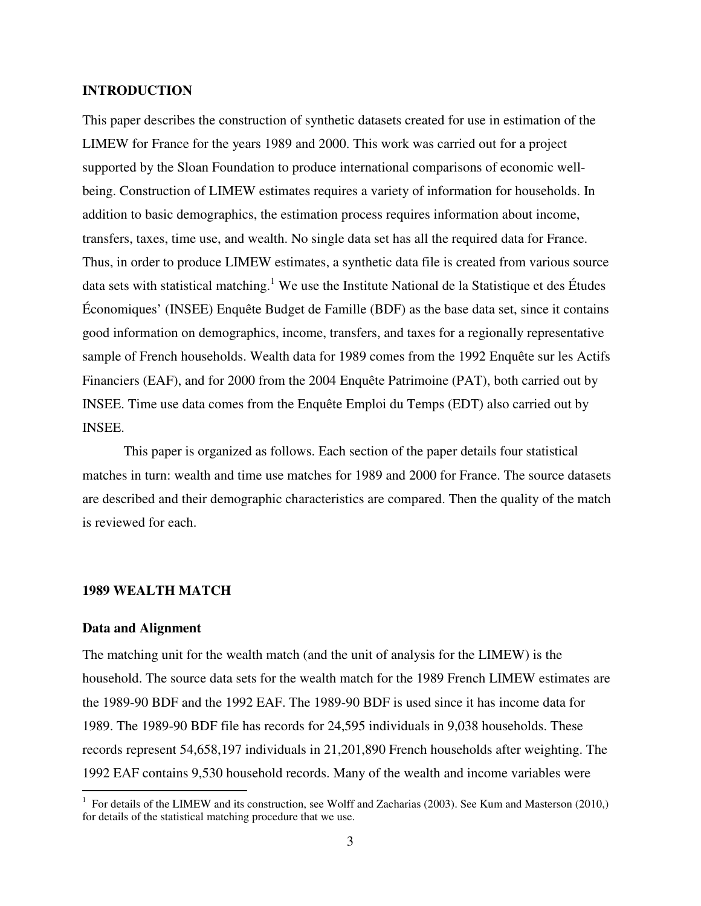#### **INTRODUCTION**

This paper describes the construction of synthetic datasets created for use in estimation of the LIMEW for France for the years 1989 and 2000. This work was carried out for a project supported by the Sloan Foundation to produce international comparisons of economic wellbeing. Construction of LIMEW estimates requires a variety of information for households. In addition to basic demographics, the estimation process requires information about income, transfers, taxes, time use, and wealth. No single data set has all the required data for France. Thus, in order to produce LIMEW estimates, a synthetic data file is created from various source data sets with statistical matching.<sup>1</sup> We use the Institute National de la Statistique et des Études Économiques' (INSEE) Enquête Budget de Famille (BDF) as the base data set, since it contains good information on demographics, income, transfers, and taxes for a regionally representative sample of French households. Wealth data for 1989 comes from the 1992 Enquête sur les Actifs Financiers (EAF), and for 2000 from the 2004 Enquête Patrimoine (PAT), both carried out by INSEE. Time use data comes from the Enquête Emploi du Temps (EDT) also carried out by INSEE.

This paper is organized as follows. Each section of the paper details four statistical matches in turn: wealth and time use matches for 1989 and 2000 for France. The source datasets are described and their demographic characteristics are compared. Then the quality of the match is reviewed for each.

#### **1989 WEALTH MATCH**

#### **Data and Alignment**

 $\overline{a}$ 

The matching unit for the wealth match (and the unit of analysis for the LIMEW) is the household. The source data sets for the wealth match for the 1989 French LIMEW estimates are the 1989-90 BDF and the 1992 EAF. The 1989-90 BDF is used since it has income data for 1989. The 1989-90 BDF file has records for 24,595 individuals in 9,038 households. These records represent 54,658,197 individuals in 21,201,890 French households after weighting. The 1992 EAF contains 9,530 household records. Many of the wealth and income variables were

<sup>&</sup>lt;sup>1</sup> For details of the LIMEW and its construction, see Wolff and Zacharias (2003). See Kum and Masterson (2010,) for details of the statistical matching procedure that we use.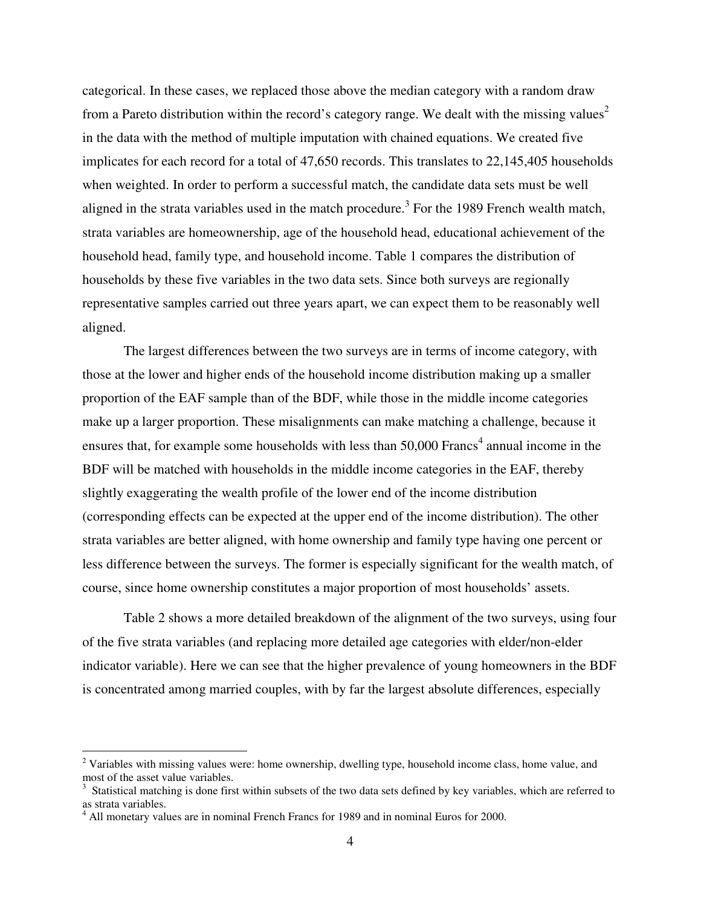categorical. In these cases, we replaced those above the median category with a random draw from a Pareto distribution within the record's category range. We dealt with the missing values<sup>2</sup> in the data with the method of multiple imputation with chained equations. We created five implicates for each record for a total of 47,650 records. This translates to 22,145,405 households when weighted. In order to perform a successful match, the candidate data sets must be well aligned in the strata variables used in the match procedure.<sup>3</sup> For the 1989 French wealth match, strata variables are homeownership, age of the household head, educational achievement of the household head, family type, and household income. Table 1 compares the distribution of households by these five variables in the two data sets. Since both surveys are regionally representative samples carried out three years apart, we can expect them to be reasonably well aligned.

The largest differences between the two surveys are in terms of income category, with those at the lower and higher ends of the household income distribution making up a smaller proportion of the EAF sample than of the BDF, while those in the middle income categories make up a larger proportion. These misalignments can make matching a challenge, because it ensures that, for example some households with less than  $50,000$  Francs<sup>4</sup> annual income in the BDF will be matched with households in the middle income categories in the EAF, thereby slightly exaggerating the wealth profile of the lower end of the income distribution (corresponding effects can be expected at the upper end of the income distribution). The other strata variables are better aligned, with home ownership and family type having one percent or less difference between the surveys. The former is especially significant for the wealth match, of course, since home ownership constitutes a major proportion of most households' assets.

Table 2 shows a more detailed breakdown of the alignment of the two surveys, using four of the five strata variables (and replacing more detailed age categories with elder/non-elder indicator variable). Here we can see that the higher prevalence of young homeowners in the BDF is concentrated among married couples, with by far the largest absolute differences, especially

 $\overline{a}$ 

 $2$  Variables with missing values were: home ownership, dwelling type, household income class, home value, and most of the asset value variables.

 $3$  Statistical matching is done first within subsets of the two data sets defined by key variables, which are referred to as strata variables.

<sup>&</sup>lt;sup>4</sup> All monetary values are in nominal French Francs for 1989 and in nominal Euros for 2000.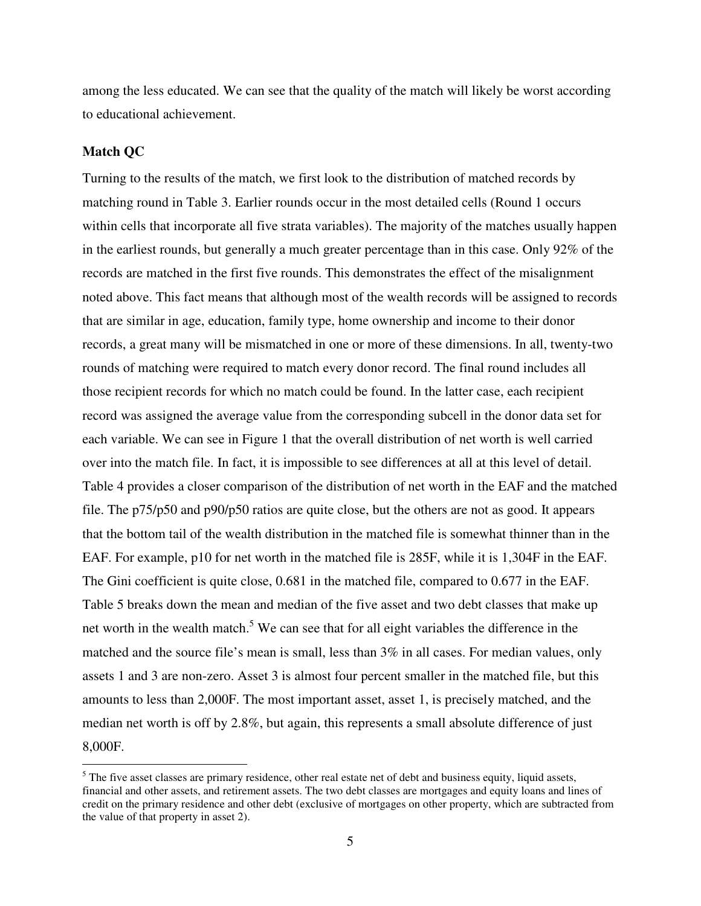among the less educated. We can see that the quality of the match will likely be worst according to educational achievement.

#### **Match QC**

Turning to the results of the match, we first look to the distribution of matched records by matching round in Table 3. Earlier rounds occur in the most detailed cells (Round 1 occurs within cells that incorporate all five strata variables). The majority of the matches usually happen in the earliest rounds, but generally a much greater percentage than in this case. Only 92% of the records are matched in the first five rounds. This demonstrates the effect of the misalignment noted above. This fact means that although most of the wealth records will be assigned to records that are similar in age, education, family type, home ownership and income to their donor records, a great many will be mismatched in one or more of these dimensions. In all, twenty-two rounds of matching were required to match every donor record. The final round includes all those recipient records for which no match could be found. In the latter case, each recipient record was assigned the average value from the corresponding subcell in the donor data set for each variable. We can see in Figure 1 that the overall distribution of net worth is well carried over into the match file. In fact, it is impossible to see differences at all at this level of detail. Table 4 provides a closer comparison of the distribution of net worth in the EAF and the matched file. The p75/p50 and p90/p50 ratios are quite close, but the others are not as good. It appears that the bottom tail of the wealth distribution in the matched file is somewhat thinner than in the EAF. For example, p10 for net worth in the matched file is 285F, while it is 1,304F in the EAF. The Gini coefficient is quite close, 0.681 in the matched file, compared to 0.677 in the EAF. Table 5 breaks down the mean and median of the five asset and two debt classes that make up net worth in the wealth match.<sup>5</sup> We can see that for all eight variables the difference in the matched and the source file's mean is small, less than 3% in all cases. For median values, only assets 1 and 3 are non-zero. Asset 3 is almost four percent smaller in the matched file, but this amounts to less than 2,000F. The most important asset, asset 1, is precisely matched, and the median net worth is off by 2.8%, but again, this represents a small absolute difference of just 8,000F.

<sup>&</sup>lt;sup>5</sup>The five asset classes are primary residence, other real estate net of debt and business equity, liquid assets, financial and other assets, and retirement assets. The two debt classes are mortgages and equity loans and lines of credit on the primary residence and other debt (exclusive of mortgages on other property, which are subtracted from the value of that property in asset 2).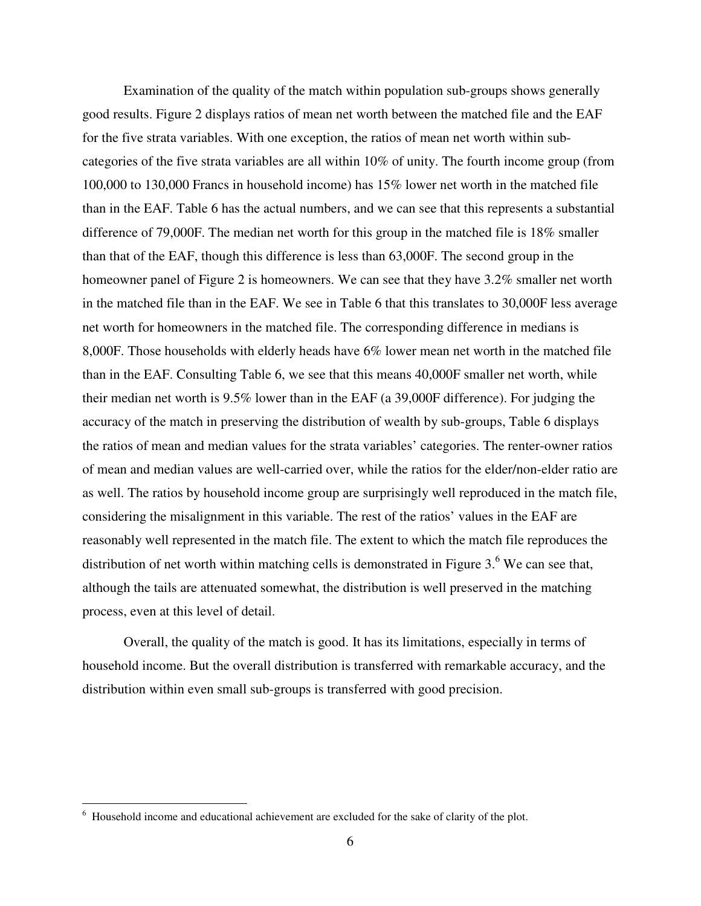Examination of the quality of the match within population sub-groups shows generally good results. Figure 2 displays ratios of mean net worth between the matched file and the EAF for the five strata variables. With one exception, the ratios of mean net worth within subcategories of the five strata variables are all within 10% of unity. The fourth income group (from 100,000 to 130,000 Francs in household income) has 15% lower net worth in the matched file than in the EAF. Table 6 has the actual numbers, and we can see that this represents a substantial difference of 79,000F. The median net worth for this group in the matched file is 18% smaller than that of the EAF, though this difference is less than 63,000F. The second group in the homeowner panel of Figure 2 is homeowners. We can see that they have 3.2% smaller net worth in the matched file than in the EAF. We see in Table 6 that this translates to 30,000F less average net worth for homeowners in the matched file. The corresponding difference in medians is 8,000F. Those households with elderly heads have 6% lower mean net worth in the matched file than in the EAF. Consulting Table 6, we see that this means 40,000F smaller net worth, while their median net worth is 9.5% lower than in the EAF (a 39,000F difference). For judging the accuracy of the match in preserving the distribution of wealth by sub-groups, Table 6 displays the ratios of mean and median values for the strata variables' categories. The renter-owner ratios of mean and median values are well-carried over, while the ratios for the elder/non-elder ratio are as well. The ratios by household income group are surprisingly well reproduced in the match file, considering the misalignment in this variable. The rest of the ratios' values in the EAF are reasonably well represented in the match file. The extent to which the match file reproduces the distribution of net worth within matching cells is demonstrated in Figure  $3.6$  We can see that, although the tails are attenuated somewhat, the distribution is well preserved in the matching process, even at this level of detail.

Overall, the quality of the match is good. It has its limitations, especially in terms of household income. But the overall distribution is transferred with remarkable accuracy, and the distribution within even small sub-groups is transferred with good precision.

 $\overline{a}$ 

<sup>&</sup>lt;sup>6</sup> Household income and educational achievement are excluded for the sake of clarity of the plot.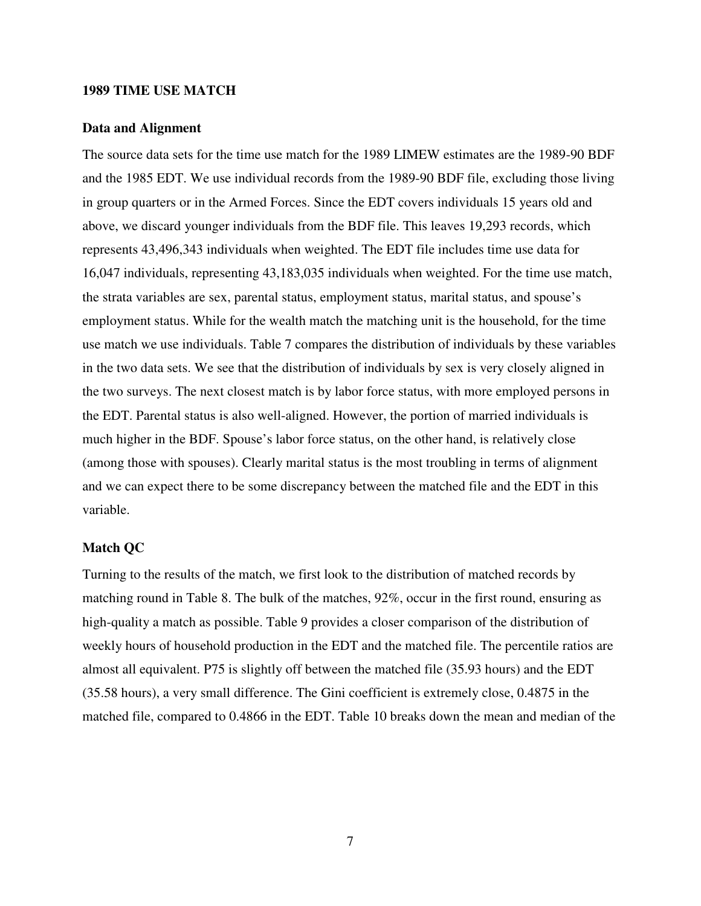#### **1989 TIME USE MATCH**

#### **Data and Alignment**

The source data sets for the time use match for the 1989 LIMEW estimates are the 1989-90 BDF and the 1985 EDT. We use individual records from the 1989-90 BDF file, excluding those living in group quarters or in the Armed Forces. Since the EDT covers individuals 15 years old and above, we discard younger individuals from the BDF file. This leaves 19,293 records, which represents 43,496,343 individuals when weighted. The EDT file includes time use data for 16,047 individuals, representing 43,183,035 individuals when weighted. For the time use match, the strata variables are sex, parental status, employment status, marital status, and spouse's employment status. While for the wealth match the matching unit is the household, for the time use match we use individuals. Table 7 compares the distribution of individuals by these variables in the two data sets. We see that the distribution of individuals by sex is very closely aligned in the two surveys. The next closest match is by labor force status, with more employed persons in the EDT. Parental status is also well-aligned. However, the portion of married individuals is much higher in the BDF. Spouse's labor force status, on the other hand, is relatively close (among those with spouses). Clearly marital status is the most troubling in terms of alignment and we can expect there to be some discrepancy between the matched file and the EDT in this variable.

#### **Match QC**

Turning to the results of the match, we first look to the distribution of matched records by matching round in Table 8. The bulk of the matches, 92%, occur in the first round, ensuring as high-quality a match as possible. Table 9 provides a closer comparison of the distribution of weekly hours of household production in the EDT and the matched file. The percentile ratios are almost all equivalent. P75 is slightly off between the matched file (35.93 hours) and the EDT (35.58 hours), a very small difference. The Gini coefficient is extremely close, 0.4875 in the matched file, compared to 0.4866 in the EDT. Table 10 breaks down the mean and median of the

7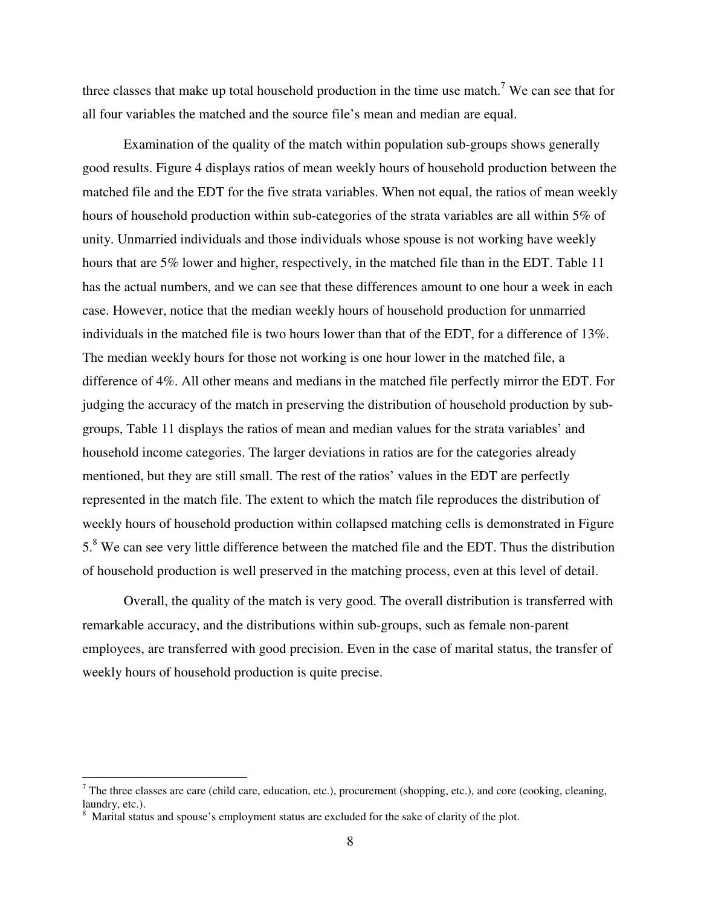three classes that make up total household production in the time use match.<sup>7</sup> We can see that for all four variables the matched and the source file's mean and median are equal.

Examination of the quality of the match within population sub-groups shows generally good results. Figure 4 displays ratios of mean weekly hours of household production between the matched file and the EDT for the five strata variables. When not equal, the ratios of mean weekly hours of household production within sub-categories of the strata variables are all within 5% of unity. Unmarried individuals and those individuals whose spouse is not working have weekly hours that are 5% lower and higher, respectively, in the matched file than in the EDT. Table 11 has the actual numbers, and we can see that these differences amount to one hour a week in each case. However, notice that the median weekly hours of household production for unmarried individuals in the matched file is two hours lower than that of the EDT, for a difference of 13%. The median weekly hours for those not working is one hour lower in the matched file, a difference of 4%. All other means and medians in the matched file perfectly mirror the EDT. For judging the accuracy of the match in preserving the distribution of household production by subgroups, Table 11 displays the ratios of mean and median values for the strata variables' and household income categories. The larger deviations in ratios are for the categories already mentioned, but they are still small. The rest of the ratios' values in the EDT are perfectly represented in the match file. The extent to which the match file reproduces the distribution of weekly hours of household production within collapsed matching cells is demonstrated in Figure 5.<sup>8</sup> We can see very little difference between the matched file and the EDT. Thus the distribution of household production is well preserved in the matching process, even at this level of detail.

Overall, the quality of the match is very good. The overall distribution is transferred with remarkable accuracy, and the distributions within sub-groups, such as female non-parent employees, are transferred with good precision. Even in the case of marital status, the transfer of weekly hours of household production is quite precise.

 $\overline{a}$ 

 $<sup>7</sup>$  The three classes are care (child care, education, etc.), procurement (shopping, etc.), and core (cooking, cleaning,</sup> laundry, etc.).

<sup>&</sup>lt;sup>8</sup> Marital status and spouse's employment status are excluded for the sake of clarity of the plot.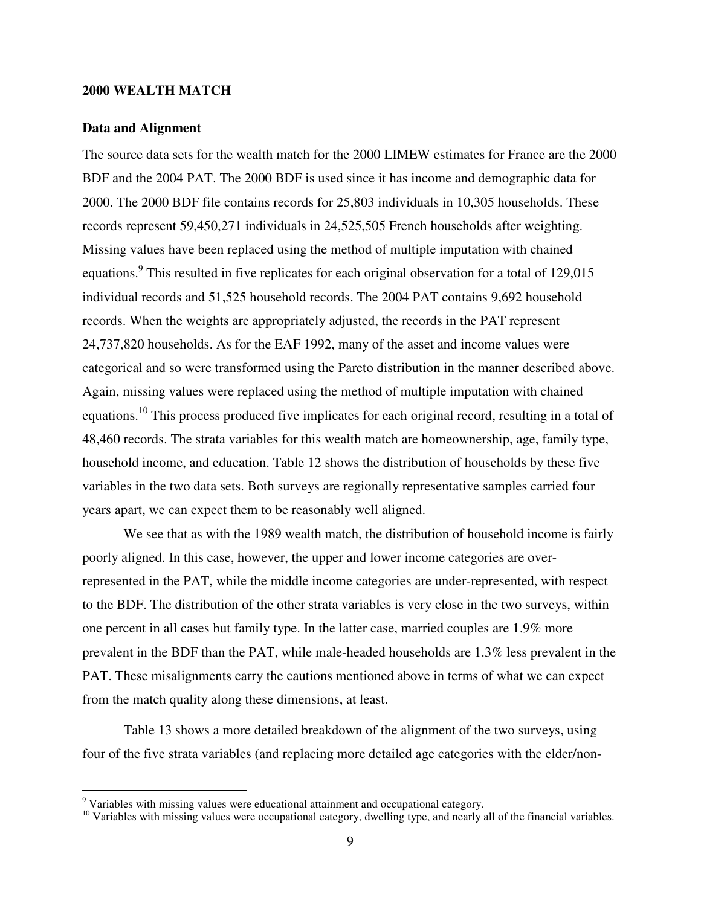#### **2000 WEALTH MATCH**

#### **Data and Alignment**

 $\overline{a}$ 

The source data sets for the wealth match for the 2000 LIMEW estimates for France are the 2000 BDF and the 2004 PAT. The 2000 BDF is used since it has income and demographic data for 2000. The 2000 BDF file contains records for 25,803 individuals in 10,305 households. These records represent 59,450,271 individuals in 24,525,505 French households after weighting. Missing values have been replaced using the method of multiple imputation with chained equations.<sup>9</sup> This resulted in five replicates for each original observation for a total of 129,015 individual records and 51,525 household records. The 2004 PAT contains 9,692 household records. When the weights are appropriately adjusted, the records in the PAT represent 24,737,820 households. As for the EAF 1992, many of the asset and income values were categorical and so were transformed using the Pareto distribution in the manner described above. Again, missing values were replaced using the method of multiple imputation with chained equations.<sup>10</sup> This process produced five implicates for each original record, resulting in a total of 48,460 records. The strata variables for this wealth match are homeownership, age, family type, household income, and education. Table 12 shows the distribution of households by these five variables in the two data sets. Both surveys are regionally representative samples carried four years apart, we can expect them to be reasonably well aligned.

We see that as with the 1989 wealth match, the distribution of household income is fairly poorly aligned. In this case, however, the upper and lower income categories are overrepresented in the PAT, while the middle income categories are under-represented, with respect to the BDF. The distribution of the other strata variables is very close in the two surveys, within one percent in all cases but family type. In the latter case, married couples are 1.9% more prevalent in the BDF than the PAT, while male-headed households are 1.3% less prevalent in the PAT. These misalignments carry the cautions mentioned above in terms of what we can expect from the match quality along these dimensions, at least.

Table 13 shows a more detailed breakdown of the alignment of the two surveys, using four of the five strata variables (and replacing more detailed age categories with the elder/non-

 $9$  Variables with missing values were educational attainment and occupational category.

<sup>&</sup>lt;sup>10</sup> Variables with missing values were occupational category, dwelling type, and nearly all of the financial variables.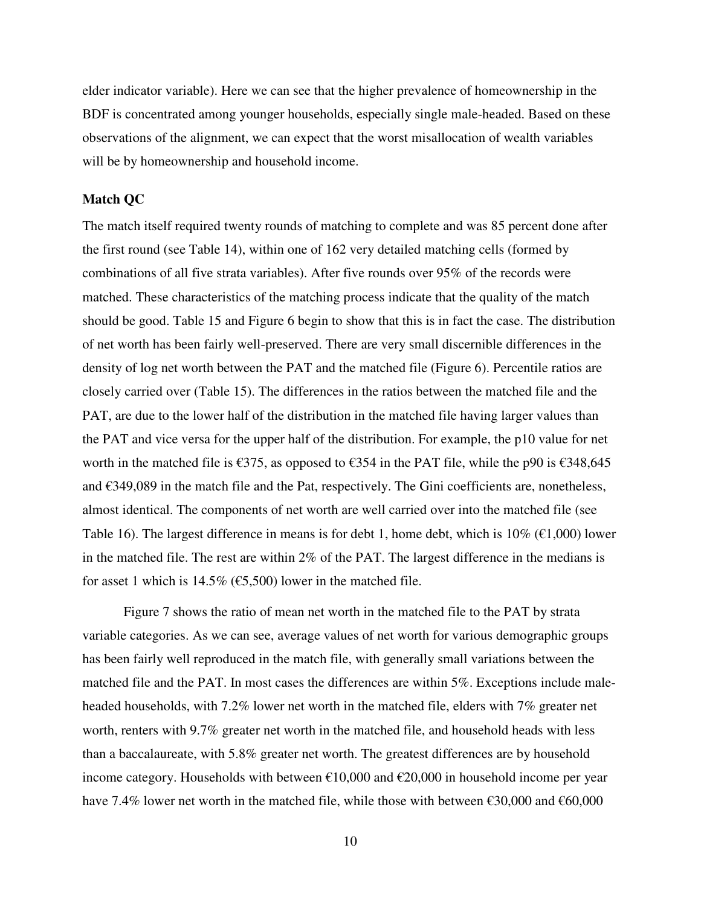elder indicator variable). Here we can see that the higher prevalence of homeownership in the BDF is concentrated among younger households, especially single male-headed. Based on these observations of the alignment, we can expect that the worst misallocation of wealth variables will be by homeownership and household income.

#### **Match QC**

The match itself required twenty rounds of matching to complete and was 85 percent done after the first round (see Table 14), within one of 162 very detailed matching cells (formed by combinations of all five strata variables). After five rounds over 95% of the records were matched. These characteristics of the matching process indicate that the quality of the match should be good. Table 15 and Figure 6 begin to show that this is in fact the case. The distribution of net worth has been fairly well-preserved. There are very small discernible differences in the density of log net worth between the PAT and the matched file (Figure 6). Percentile ratios are closely carried over (Table 15). The differences in the ratios between the matched file and the PAT, are due to the lower half of the distribution in the matched file having larger values than the PAT and vice versa for the upper half of the distribution. For example, the p10 value for net worth in the matched file is €375, as opposed to  $€354$  in the PAT file, while the p90 is  $€348,645$ and €349,089 in the match file and the Pat, respectively. The Gini coefficients are, nonetheless, almost identical. The components of net worth are well carried over into the matched file (see Table 16). The largest difference in means is for debt 1, home debt, which is  $10\%$  ( $\epsilon$ 1,000) lower in the matched file. The rest are within 2% of the PAT. The largest difference in the medians is for asset 1 which is  $14.5\%$  (€5,500) lower in the matched file.

Figure 7 shows the ratio of mean net worth in the matched file to the PAT by strata variable categories. As we can see, average values of net worth for various demographic groups has been fairly well reproduced in the match file, with generally small variations between the matched file and the PAT. In most cases the differences are within 5%. Exceptions include maleheaded households, with 7.2% lower net worth in the matched file, elders with 7% greater net worth, renters with 9.7% greater net worth in the matched file, and household heads with less than a baccalaureate, with 5.8% greater net worth. The greatest differences are by household income category. Households with between  $\epsilon$ 10,000 and  $\epsilon$ 20,000 in household income per year have 7.4% lower net worth in the matched file, while those with between €30,000 and €60,000

10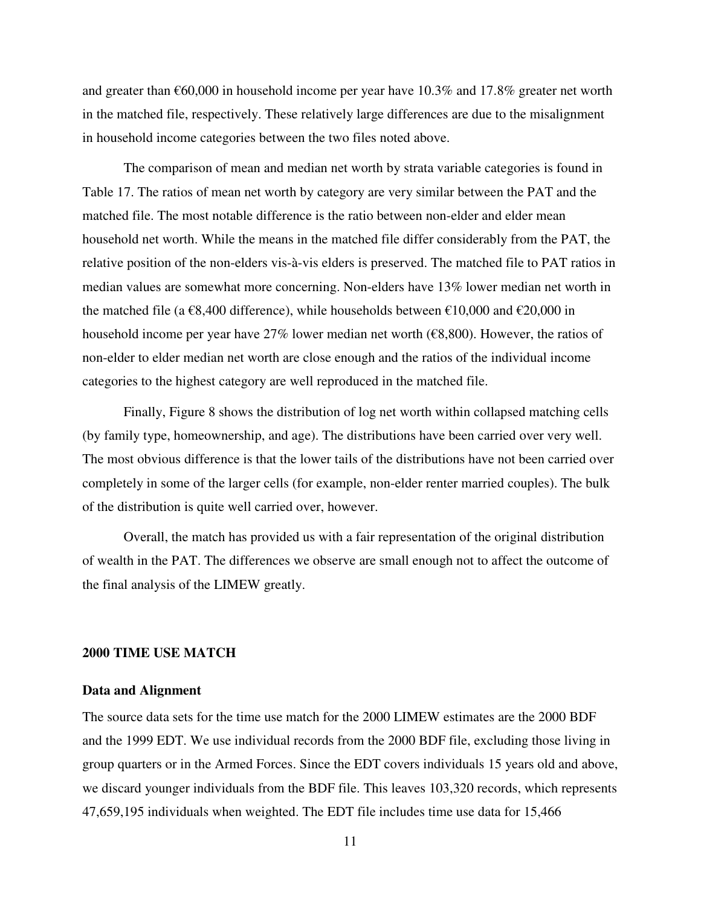and greater than  $\epsilon$ 60,000 in household income per year have 10.3% and 17.8% greater net worth in the matched file, respectively. These relatively large differences are due to the misalignment in household income categories between the two files noted above.

The comparison of mean and median net worth by strata variable categories is found in Table 17. The ratios of mean net worth by category are very similar between the PAT and the matched file. The most notable difference is the ratio between non-elder and elder mean household net worth. While the means in the matched file differ considerably from the PAT, the relative position of the non-elders vis-à-vis elders is preserved. The matched file to PAT ratios in median values are somewhat more concerning. Non-elders have 13% lower median net worth in the matched file (a  $\epsilon$ 8,400 difference), while households between  $\epsilon$ 10,000 and  $\epsilon$ 20,000 in household income per year have 27% lower median net worth ( $\epsilon$ 8,800). However, the ratios of non-elder to elder median net worth are close enough and the ratios of the individual income categories to the highest category are well reproduced in the matched file.

Finally, Figure 8 shows the distribution of log net worth within collapsed matching cells (by family type, homeownership, and age). The distributions have been carried over very well. The most obvious difference is that the lower tails of the distributions have not been carried over completely in some of the larger cells (for example, non-elder renter married couples). The bulk of the distribution is quite well carried over, however.

Overall, the match has provided us with a fair representation of the original distribution of wealth in the PAT. The differences we observe are small enough not to affect the outcome of the final analysis of the LIMEW greatly.

#### **2000 TIME USE MATCH**

#### **Data and Alignment**

The source data sets for the time use match for the 2000 LIMEW estimates are the 2000 BDF and the 1999 EDT. We use individual records from the 2000 BDF file, excluding those living in group quarters or in the Armed Forces. Since the EDT covers individuals 15 years old and above, we discard younger individuals from the BDF file. This leaves 103,320 records, which represents 47,659,195 individuals when weighted. The EDT file includes time use data for 15,466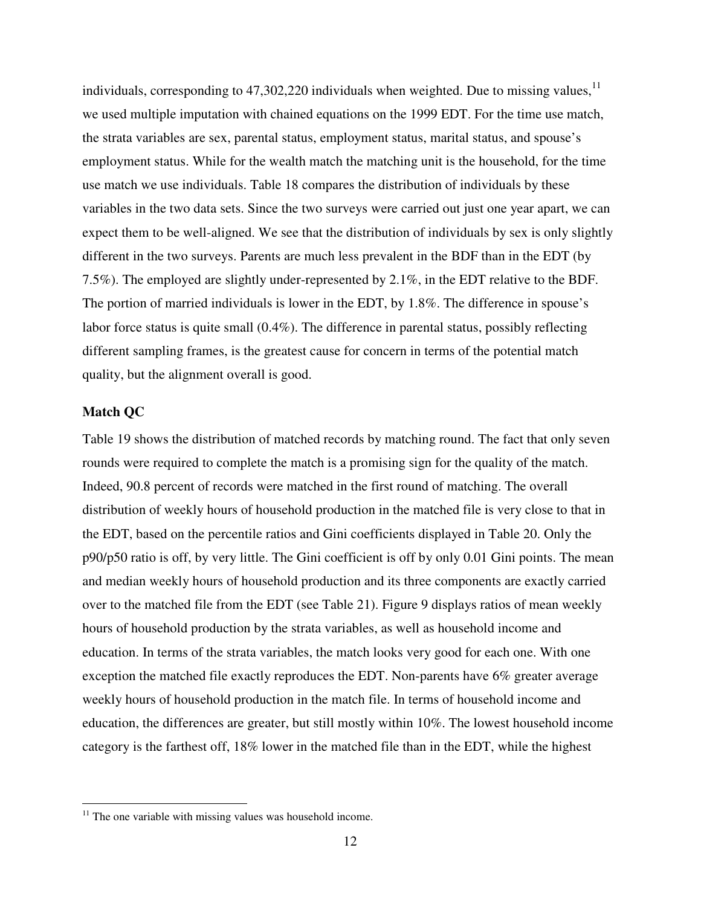individuals, corresponding to  $47,302,220$  individuals when weighted. Due to missing values,  $^{11}$ we used multiple imputation with chained equations on the 1999 EDT. For the time use match, the strata variables are sex, parental status, employment status, marital status, and spouse's employment status. While for the wealth match the matching unit is the household, for the time use match we use individuals. Table 18 compares the distribution of individuals by these variables in the two data sets. Since the two surveys were carried out just one year apart, we can expect them to be well-aligned. We see that the distribution of individuals by sex is only slightly different in the two surveys. Parents are much less prevalent in the BDF than in the EDT (by 7.5%). The employed are slightly under-represented by 2.1%, in the EDT relative to the BDF. The portion of married individuals is lower in the EDT, by 1.8%. The difference in spouse's labor force status is quite small (0.4%). The difference in parental status, possibly reflecting different sampling frames, is the greatest cause for concern in terms of the potential match quality, but the alignment overall is good.

#### **Match QC**

 $\overline{a}$ 

Table 19 shows the distribution of matched records by matching round. The fact that only seven rounds were required to complete the match is a promising sign for the quality of the match. Indeed, 90.8 percent of records were matched in the first round of matching. The overall distribution of weekly hours of household production in the matched file is very close to that in the EDT, based on the percentile ratios and Gini coefficients displayed in Table 20. Only the p90/p50 ratio is off, by very little. The Gini coefficient is off by only 0.01 Gini points. The mean and median weekly hours of household production and its three components are exactly carried over to the matched file from the EDT (see Table 21). Figure 9 displays ratios of mean weekly hours of household production by the strata variables, as well as household income and education. In terms of the strata variables, the match looks very good for each one. With one exception the matched file exactly reproduces the EDT. Non-parents have 6% greater average weekly hours of household production in the match file. In terms of household income and education, the differences are greater, but still mostly within 10%. The lowest household income category is the farthest off, 18% lower in the matched file than in the EDT, while the highest

 $11$  The one variable with missing values was household income.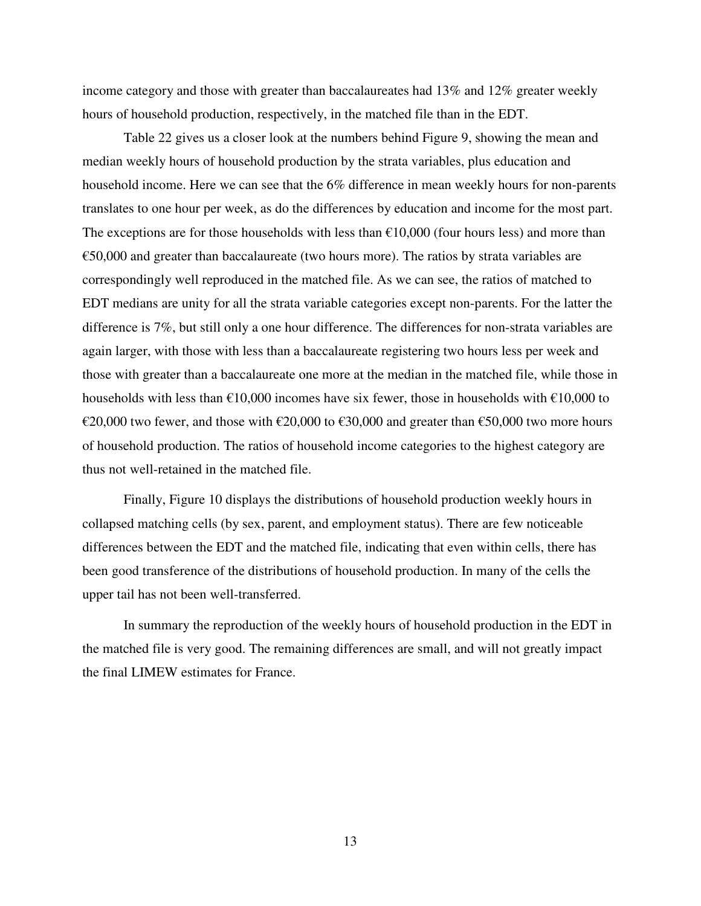income category and those with greater than baccalaureates had 13% and 12% greater weekly hours of household production, respectively, in the matched file than in the EDT.

Table 22 gives us a closer look at the numbers behind Figure 9, showing the mean and median weekly hours of household production by the strata variables, plus education and household income. Here we can see that the 6% difference in mean weekly hours for non-parents translates to one hour per week, as do the differences by education and income for the most part. The exceptions are for those households with less than  $\epsilon$ 10,000 (four hours less) and more than  $\epsilon$ 50,000 and greater than baccalaureate (two hours more). The ratios by strata variables are correspondingly well reproduced in the matched file. As we can see, the ratios of matched to EDT medians are unity for all the strata variable categories except non-parents. For the latter the difference is 7%, but still only a one hour difference. The differences for non-strata variables are again larger, with those with less than a baccalaureate registering two hours less per week and those with greater than a baccalaureate one more at the median in the matched file, while those in households with less than  $\epsilon$ 10,000 incomes have six fewer, those in households with  $\epsilon$ 10,000 to €20,000 two fewer, and those with €20,000 to €30,000 and greater than €50,000 two more hours of household production. The ratios of household income categories to the highest category are thus not well-retained in the matched file.

Finally, Figure 10 displays the distributions of household production weekly hours in collapsed matching cells (by sex, parent, and employment status). There are few noticeable differences between the EDT and the matched file, indicating that even within cells, there has been good transference of the distributions of household production. In many of the cells the upper tail has not been well-transferred.

In summary the reproduction of the weekly hours of household production in the EDT in the matched file is very good. The remaining differences are small, and will not greatly impact the final LIMEW estimates for France.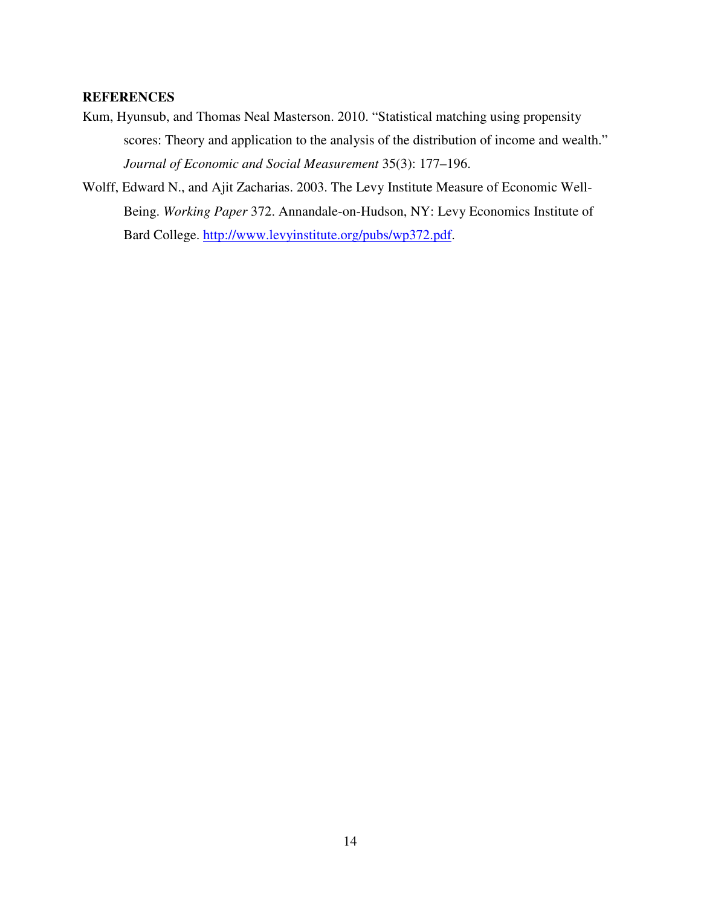#### **REFERENCES**

- Kum, Hyunsub, and Thomas Neal Masterson. 2010. "Statistical matching using propensity scores: Theory and application to the analysis of the distribution of income and wealth." *Journal of Economic and Social Measurement* 35(3): 177–196.
- Wolff, Edward N., and Ajit Zacharias. 2003. The Levy Institute Measure of Economic Well-Being. *Working Paper* 372. Annandale-on-Hudson, NY: Levy Economics Institute of Bard College. http://www.levyinstitute.org/pubs/wp372.pdf.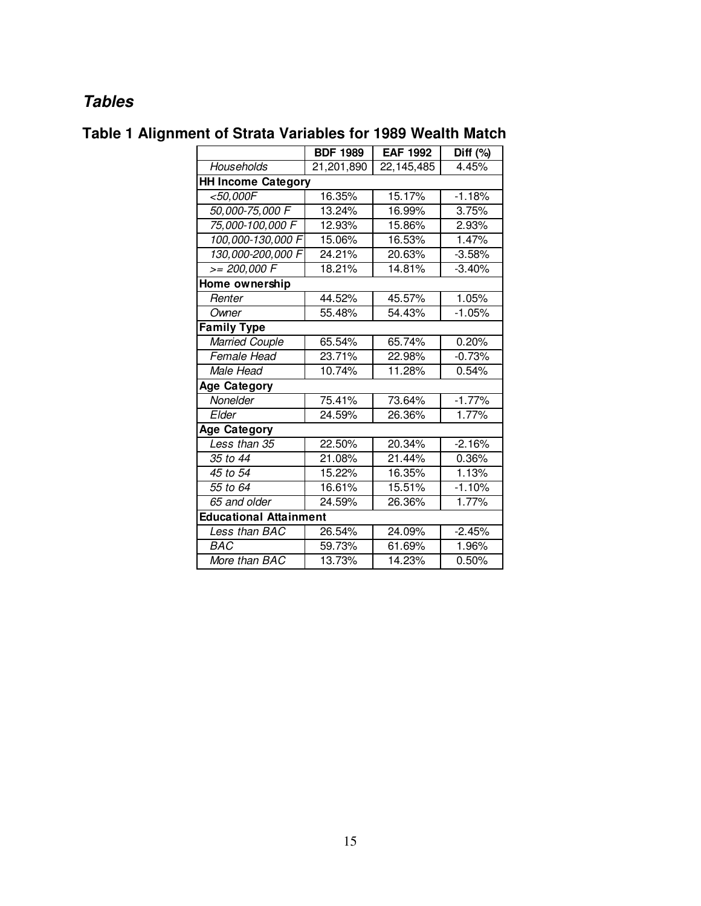# **Tables**

|                               | <b>BDF 1989</b> | <b>EAF 1992</b>      | $\overline{Diff (%)}$ |
|-------------------------------|-----------------|----------------------|-----------------------|
| Households                    | 21,201,890      | 22,145,485           | 4.45%                 |
| <b>HH Income Category</b>     |                 |                      |                       |
| <50,000F                      | 16.35%          | 15.17%               | $-1.18%$              |
| 50,000-75,000 F               | 13.24%          | 16.99%               | 3.75%                 |
| 75,000-100,000 F              | 12.93%          | 15.86%               | 2.93%                 |
| 100,000-130,000 F             | 15.06%          | 16.53%               | 1.47%                 |
| 130,000-200,000 F             | 24.21%          | 20.63%               | $-3.58%$              |
| $>= 200,000 F$                | 18.21%          | 14.81%               | $-3.40%$              |
| Home ownership                |                 |                      |                       |
| Renter                        | 44.52%          | 45.57%               | 1.05%                 |
| Owner                         | 55.48%          | 54.43%               | $-1.05%$              |
| <b>Family Type</b>            |                 |                      |                       |
| <b>Married Couple</b>         | 65.54%          | 65.74%               | 0.20%                 |
| Female Head                   | 23.71%          | 22.98%               | $-0.73%$              |
| Male Head                     | 10.74%          | 11.28%               | 0.54%                 |
| Age Category                  |                 |                      |                       |
| Nonelder                      | 75.41%          | 73.64%               | $-1.77%$              |
| Elder                         | 24.59%          | 26.36%               | 1.77%                 |
| <b>Age Category</b>           |                 |                      |                       |
| Less than 35                  | 22.50%          | 20.34%               | $-2.16%$              |
| 35 to 44                      | 21.08%          | 21.44%               | 0.36%                 |
| 45 to 54                      | 15.22%          | 16.35%               | 1.13%                 |
| 55 to 64                      | 16.61%          | 15.51%               | $-1.10%$              |
| 65 and older                  | 24.59%          | 26.36%               | 1.77%                 |
| <b>Educational Attainment</b> |                 |                      |                       |
| Less than BAC                 | 26.54%          | 24.09%               | $-2.45%$              |
| <b>BAC</b>                    | 59.73%          | 61.69%               | 1.96%                 |
| More than BAC                 | 13.73%          | $\overline{14.23\%}$ | 0.50%                 |

# **Table 1 Alignment of Strata Variables for 1989 Wealth Match**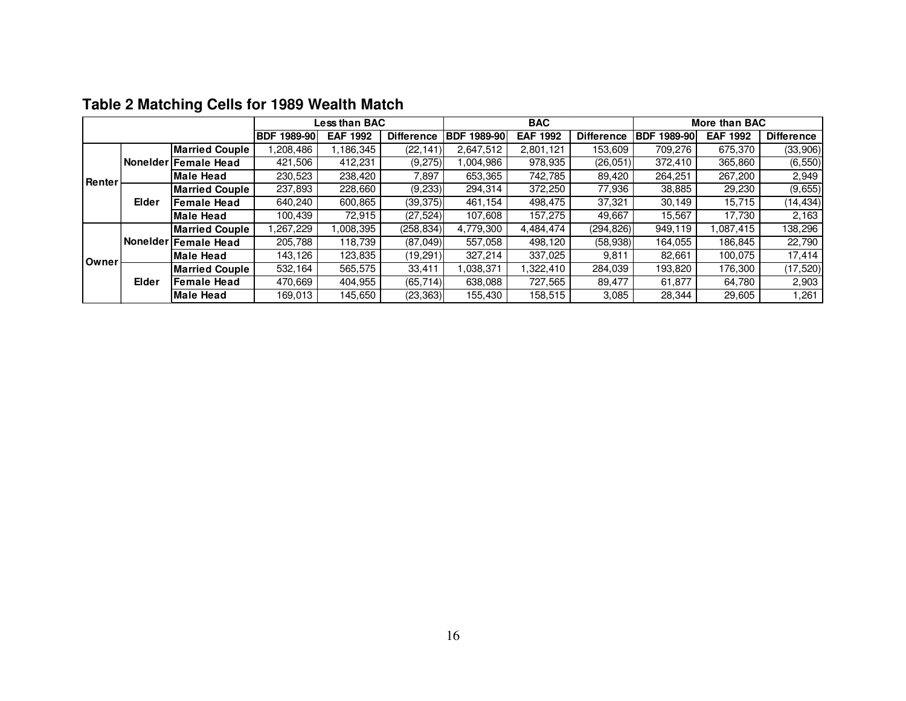|        |       |                       |                       | Less than BAC   |                   |                       | <b>BAC</b>      |                   |                       | More than BAC   |                   |  |
|--------|-------|-----------------------|-----------------------|-----------------|-------------------|-----------------------|-----------------|-------------------|-----------------------|-----------------|-------------------|--|
|        |       |                       | 1989-90<br><b>BDF</b> | <b>EAF 1992</b> | <b>Difference</b> | <b>BDF</b><br>1989-90 | <b>EAF 1992</b> | <b>Difference</b> | <b>BDF</b><br>1989-90 | <b>EAF 1992</b> | <b>Difference</b> |  |
|        |       | <b>Married Couple</b> | .208,486              | .186.345        | (22, 141)         | 2,647,512             | 2,801,121       | 153,609           | 709,276               | 675,370         | (33,906)          |  |
|        |       | Nonelder Female Head  | 421,506               | 412,231         | (9,275)           | ,004,986              | 978,935         | (26, 051)         | 372,410               | 365,860         | (6, 550)          |  |
| Renter |       | <b>Male Head</b>      | 230,523               | 238,420         | 7,897             | 653,365               | 742.785         | 89,420            | 264,251               | 267,200         | 2,949             |  |
|        | Elder | <b>Married Couple</b> | 237.893               | 228,660         | (9, 233)          | 294,314               | 372,250         | 77.936            | 38,885                | 29,230          | (9,655)           |  |
|        |       | <b>Female Head</b>    | 640,240               | 600,865         | (39, 375)         | 461.154               | 498,475         | 37,321            | 30,149                | 15,715          | (14, 434)         |  |
|        |       | <b>Male Head</b>      | 100,439               | 72.915          | (27, 524)         | 107,608               | 157.275         | 49,667            | 15,567                | 17,730          | 2,163             |  |
|        |       | <b>Married Couple</b> | .267,229              | ,008,395        | (258, 834)        | 4,779,300             | 4,484,474       | (294, 826)        | 949,119               | .087,415        | 138,296           |  |
|        |       | Nonelder Female Head  | 205.788               | 118.739         | (87,049)          | 557.058               | 498.120         | (58, 938)         | 164.055               | 186.845         | 22.790            |  |
| Owner  |       | <b>Male Head</b>      | 143,126               | 123,835         | (19, 291)         | 327,214               | 337,025         | 9,811             | 82,661                | 100,075         | 17,414            |  |
|        |       | <b>Married Couple</b> | 532,164               | 565,575         | 33,411            | .038.371              | 1,322,410       | 284,039           | 193,820               | 176,300         | (17, 520)         |  |
|        | Elder | <b>Female Head</b>    | 470.669               | 404,955         | (65, 714)         | 638.088               | 727,565         | 89.477            | 61,877                | 64.780          | 2,903             |  |
|        |       | <b>Male Head</b>      | 169,013               | 145,650         | (23, 363)         | 155,430               | 158,515         | 3,085             | 28,344                | 29,605          | 1,261             |  |

### **Table 2 Matching Cells for 1989 Wealth Match**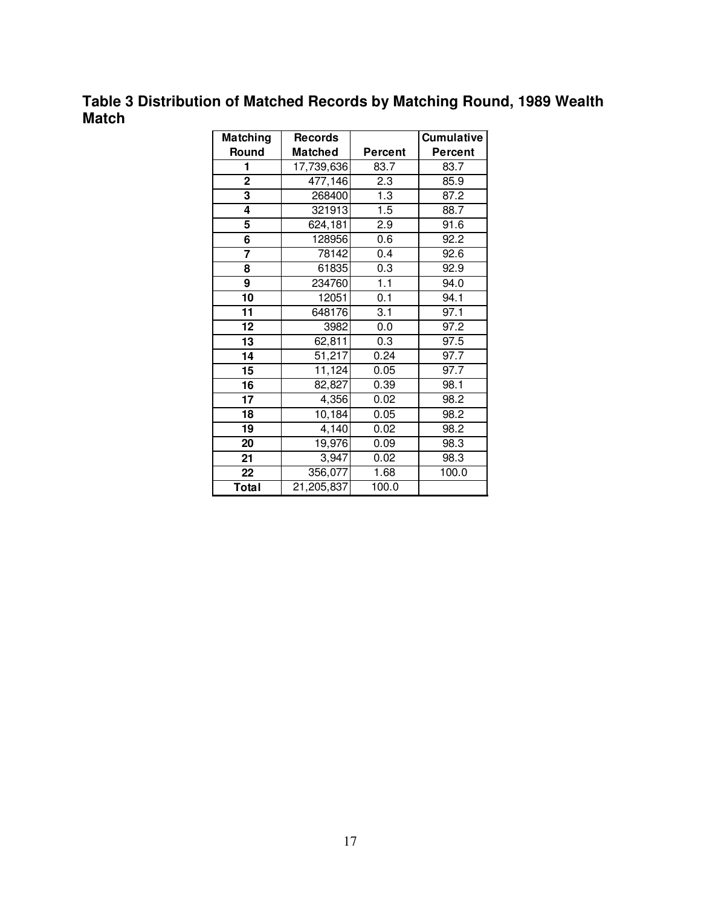## **Table 3 Distribution of Matched Records by Matching Round, 1989 Wealth Match**

| Matching       | <b>Records</b>        |         | <b>Cumulative</b> |
|----------------|-----------------------|---------|-------------------|
| Round          | <b>Matched</b>        | Percent | Percent           |
| 1              | 17,739,636            | 83.7    | 83.7              |
| $\overline{2}$ | $\overline{477}, 146$ | 2.3     | 85.9              |
| 3              | 268400                | 1.3     | 87.2              |
| 4              | 321913                | 1.5     | 88.7              |
| 5              | 624,181               | 2.9     | 91.6              |
| 6              | 128956                | 0.6     | 92.2              |
| 7              | 78142                 | 0.4     | 92.6              |
| 8              | 61835                 | 0.3     | 92.9              |
| 9              | 234760                | 1.1     | 94.0              |
| 10             | 12051                 | 0.1     | 94.1              |
| 11             | 648176                | 3.1     | 97.1              |
| 12             | 3982                  | 0.0     | 97.2              |
| 13             | 62,811                | 0.3     | 97.5              |
| 14             | 51,217                | 0.24    | 97.7              |
| 15             | 11,124                | 0.05    | 97.7              |
| 16             | 82,827                | 0.39    | 98.1              |
| 17             | 4,356                 | 0.02    | 98.2              |
| 18             | 10,184                | 0.05    | 98.2              |
| 19             | 4,140                 | 0.02    | 98.2              |
| 20             | 19,976                | 0.09    | 98.3              |
| 21             | 3,947                 | 0.02    | 98.3              |
| 22             | 356,077               | 1.68    | 100.0             |
| Total          | 21,205,837            | 100.0   |                   |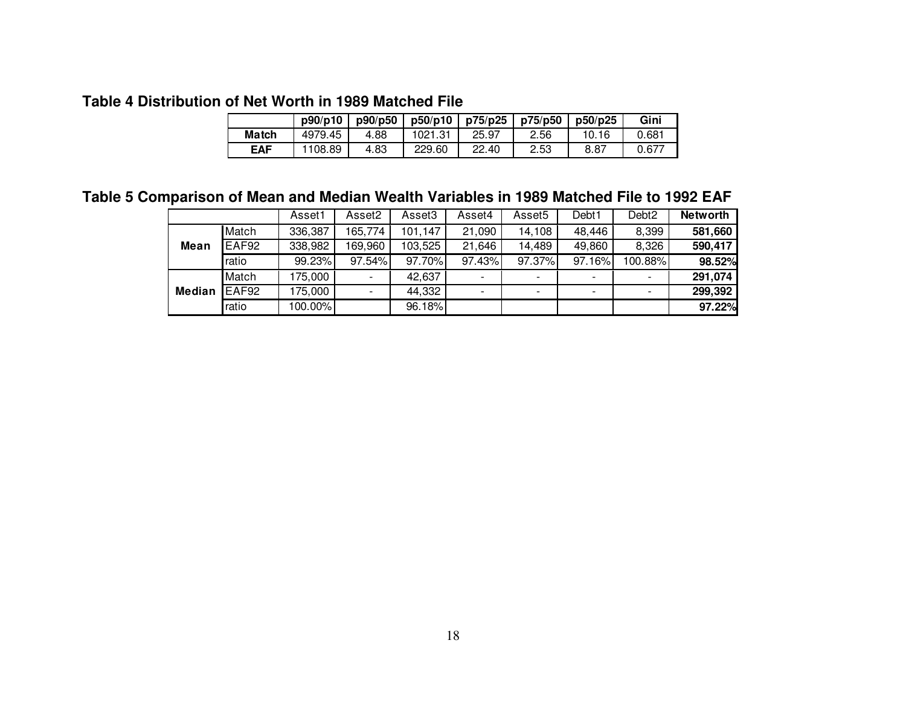### **Table 4 Distribution of Net Worth in 1989 Matched File**

|              | p90/p10 | p90/p50 | p50/p10 | p75/p25 | p75/p50 | p50/p25 | Gini  |
|--------------|---------|---------|---------|---------|---------|---------|-------|
| <b>Match</b> | 4979.45 | 4.88    | 1021.31 | 25.97   | 2.56    | 10.16   | 0.681 |
| <b>EAF</b>   | 108.89  | 4.83    | 229.60  | 22.40   | 2.53    | 8.87    | 0.677 |

### **Table 5 Comparison of Mean and Median Wealth Variables in 1989 Matched File to 1992 EAF**

|               |       |         | Asset2  | Asset <sub>3</sub> | Asset4                   | Asset <sub>5</sub>       | Debt1     | Debt <sub>2</sub>        | <b>Networth</b> |
|---------------|-------|---------|---------|--------------------|--------------------------|--------------------------|-----------|--------------------------|-----------------|
| Mean          | Match | 336,387 | 165,774 | 101,147            | 21,090                   | 14,108                   | 48,446    | 8,399                    | 581,660         |
|               | EAF92 | 338,982 | 169,960 | 103,525            | 21,646                   | 14,489                   | 49,860    | 8,326                    | 590,417         |
|               | ratio | 99.23%  | 97.54%  | 97.70%             | 97.43%                   | 97.37%                   | $97.16\%$ | 100.88%                  | 98.52%          |
| <b>Median</b> | Match | 175.000 |         | 42,637             | $\overline{\phantom{a}}$ | $\overline{\phantom{0}}$ |           | $\overline{\phantom{a}}$ | 291,074         |
|               | EAF92 | 175,000 |         | 44,332             | $\blacksquare$           | $\overline{\phantom{a}}$ | ٠         | $\overline{\phantom{a}}$ | 299,392         |
|               | ratio | 100.00% |         | 96.18%             |                          |                          |           |                          | 97.22%          |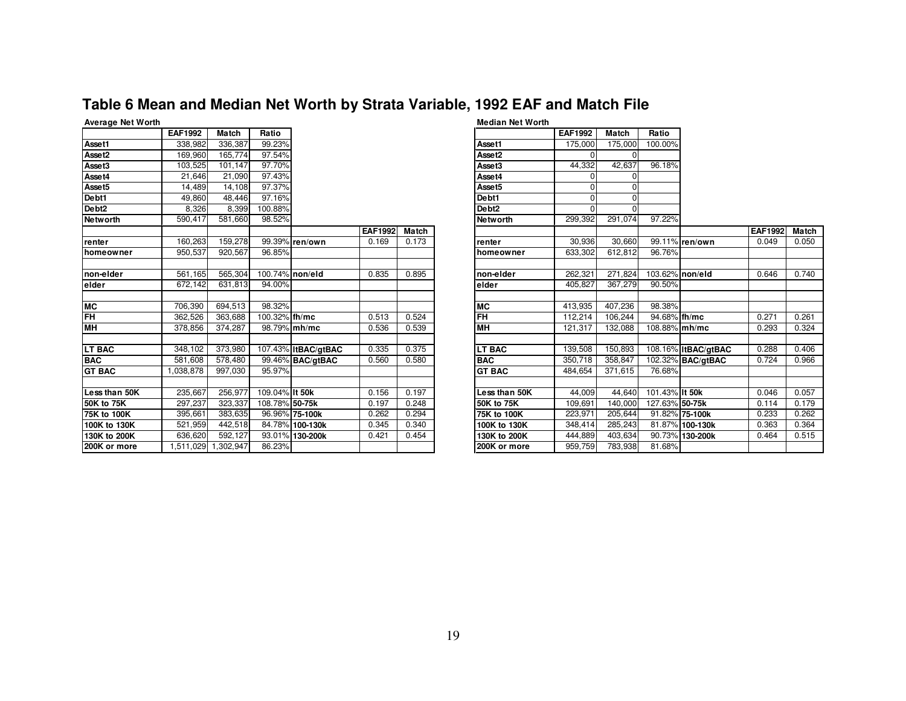### **Table 6 Mean and Median Net Worth by Strata Variable, 1992 EAF and Match File**

|                    | <b>EAF1992</b> | Match               | Ratio          |                     |                |              |
|--------------------|----------------|---------------------|----------------|---------------------|----------------|--------------|
| Asset1             | 338,982        | 336.387             | 99.23%         |                     |                |              |
| Asset2             | 169,960        | 165.774             | 97.54%         |                     |                |              |
| Asset3             | 103,525        | 101,147             | 97.70%         |                     |                |              |
| Asset4             | 21,646         | 21,090              | 97.43%         |                     |                |              |
| Asset <sub>5</sub> | 14,489         | 14,108              | 97.37%         |                     |                |              |
| Debt1              | 49,860         | 48.446              | 97.16%         |                     |                |              |
| Debt <sub>2</sub>  | 8,326          | 8,399               | 100.88%        |                     |                |              |
| <b>Networth</b>    | 590.417        | 581.660             | 98.52%         |                     |                |              |
|                    |                |                     |                |                     | <b>EAF1992</b> | <b>Match</b> |
| renter             | 160,263        | 159,278             |                | 99.39% ren/own      | 0.169          | 0.173        |
| homeowner          | 950,537        | 920,567             | 96.85%         |                     |                |              |
|                    |                |                     |                |                     |                |              |
| non-elder          | 561,165        | 565,304             |                | 100.74% non/eld     | 0.835          | 0.895        |
| elder              | 672.142        | 631,813             | 94.00%         |                     |                |              |
|                    |                |                     |                |                     |                |              |
| <b>MC</b>          | 706,390        | 694,513             | 98.32%         |                     |                |              |
| FH                 | 362,526        | 363,688             | 100.32% th/mc  |                     | 0.513          | 0.524        |
| MH                 | 378,856        | 374,287             |                | 98.79% mh/mc        | 0.536          | 0.539        |
|                    |                |                     |                |                     |                |              |
| <b>LT BAC</b>      | 348,102        | 373,980             |                | 107.43% ItBAC/gtBAC | 0.335          | 0.375        |
| <b>BAC</b>         | 581,608        | 578,480             |                | 99.46% BAC/qtBAC    | 0.560          | 0.580        |
| <b>GT BAC</b>      | 1,038,878      | 997,030             | 95.97%         |                     |                |              |
|                    |                |                     |                |                     |                |              |
| Less than 50K      | 235,667        | 256,977             | 109.04% It 50k |                     | 0.156          | 0.197        |
| <b>50K to 75K</b>  | 297,237        | 323,337             | 108.78% 50-75k |                     | 0.197          | 0.248        |
| 75K to 100K        | 395,661        | 383,635             |                | 96.96% 75-100k      | 0.262          | 0.294        |
| 100K to 130K       | 521,959        | 442,518             |                | 84.78% 100-130k     | 0.345          | 0.340        |
| 130K to 200K       | 636,620        | 592,127             |                | 93.01% 130-200k     | 0.421          | 0.454        |
| 200K or more       |                | 1,511,029 1,302,947 | 86.23%         |                     |                |              |

#### **Median Net Worth EAF1992 Match Ratio Asset1** 175,000 175,000 100.00% **Asset2** <sup>0</sup> <sup>0</sup> **Asset3** 44,332 42,637 96.18%  $\frac{\text{Asset4}}{\text{Asset4}}$  0 0 0 **Asset5** <sup>0</sup> <sup>0</sup> <u>Pebt1 0 0 0</u><br><u>Pebt1 0</u> 0 0 **Debt2** <sup>0</sup> <sup>0</sup> **Networth** 299,392 291,074 97.22% **EAF1992 Match ren/own** 0.169 0.173 **renter** 30,936 30,660 99.11% **ren/own** 0.049 0.050 **homeowner** 633,302 612,812 96.76% **non/eld** 0.835 0.895 **non-elder** 262,321 271,824 103.62% **non/eld** 0.646 0.740 **elder** 405,827 367,279 90.50% **MC** 413,935 407,236 98.38%<br> **COMPLISE ACCELE** ACCELE **FILLIPPINE ACCELE ACCELE ACCELE ACCELE ACCELE ACCELE ACCELE ACCELE ACCELE ACCELE ACCELE fh/mc** 0.513 0.524 **FH** 106,244 112,214 94.68% **fh/mc** 0.271 0.261 **mh/mc** 0.536 0.539 **MH** 132,088 121,317 108.88% **mh/mc** 0.293 0.324 **ltBAC** 139,508 150,893 108.16% **ltBAC/gtBAC** 0.288 0.406<br> **BAC** 350,718 358,847 102.32% **BAC/gtBAC** 0.724 0.966 **BAC/gtBAC** 0.560 0.580 **BAC** 358,847 350,718 102.32% **BAC/gtBAC** 0.724 0.966 **GT BAC** 484,654 371,615 76.68% **lt 50k** 0.156 0.197 **Less than 50K** 44,009 44,640 101.43% **lt 50k** 0.046 0.057 **50-75k** 0.197 0.248 **50K to 75K** 109,691 140,000 127.63% **50-75k** 0.114 0.179 **75-100k** 0.262 0.294 **75K to 100K** 223,971 205,644 91.82% **75-100k** 0.233 0.262 **100-130k** 0.345 0.340 **100K to 130K** 348,414 285,243 81.87% **100-130k** 0.363 0.364 **130-200k** 0.421 0.454 **130K to 200K** 444,889 403,634 90.73% **130-200k** 0.464 0.515 **200K or more** 959,759 783,938 81.68%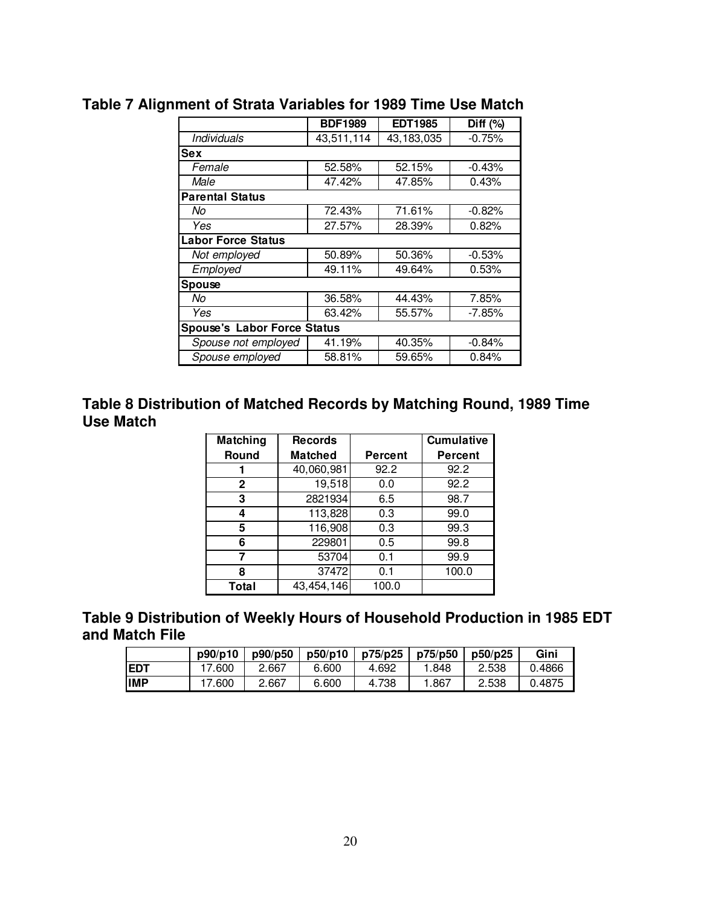|                                    | <b>BDF1989</b> | <b>EDT1985</b> | Diff $(%)$ |
|------------------------------------|----------------|----------------|------------|
| Individuals                        | 43,511,114     | 43,183,035     | $-0.75%$   |
| <b>Sex</b>                         |                |                |            |
| Female                             | 52.58%         | 52.15%         | $-0.43%$   |
| Male                               | 47.42%         | 47.85%         | 0.43%      |
| <b>Parental Status</b>             |                |                |            |
| No                                 | 72.43%         | 71.61%         | $-0.82%$   |
| Yes                                | 27.57%         | 28.39%         | 0.82%      |
| <b>Labor Force Status</b>          |                |                |            |
| Not employed                       | 50.89%         | 50.36%         | $-0.53%$   |
| Employed                           | 49.11%         | 49.64%         | 0.53%      |
| <b>Spouse</b>                      |                |                |            |
| No                                 | 36.58%         | 44.43%         | 7.85%      |
| Yes                                | 63.42%         | 55.57%         | $-7.85%$   |
| <b>Spouse's Labor Force Status</b> |                |                |            |
| Spouse not employed                | 41.19%         | 40.35%         | $-0.84%$   |
| Spouse employed                    | 58.81%         | 59.65%         | 0.84%      |
|                                    |                |                |            |

# **Table 7 Alignment of Strata Variables for 1989 Time Use Match**

### **Table 8 Distribution of Matched Records by Matching Round, 1989 Time Use Match**

| Matching | <b>Records</b> |         | <b>Cumulative</b> |
|----------|----------------|---------|-------------------|
| Round    | <b>Matched</b> | Percent | Percent           |
|          | 40,060,981     | 92.2    | 92.2              |
| 2        | 19,518         | 0.0     | 92.2              |
| 3        | 2821934        | 6.5     | 98.7              |
| 4        | 113,828        | 0.3     | 99.0              |
| 5        | 116,908        | 0.3     | 99.3              |
| 6        | 229801         | 0.5     | 99.8              |
| 7        | 53704          | 0.1     | 99.9              |
| 8        | 37472          | 0.1     | 100.0             |
| Total    | 43,454,146     | 100.0   |                   |

### **Table 9 Distribution of Weekly Hours of Household Production in 1985 EDT and Match File**

|            | p90/p10 | p90/p50 | p50/p10 | p75/p25 | p75/p50 | p50/p25 | Gini   |
|------------|---------|---------|---------|---------|---------|---------|--------|
| <b>EDT</b> | 7.600   | 2.667   | 6.600   | 4.692   | .848    | 2.538   | 0.4866 |
| <b>IMP</b> | 7.600   | 2.667   | 6.600   | 4.738   | .867    | 2.538   | 0.4875 |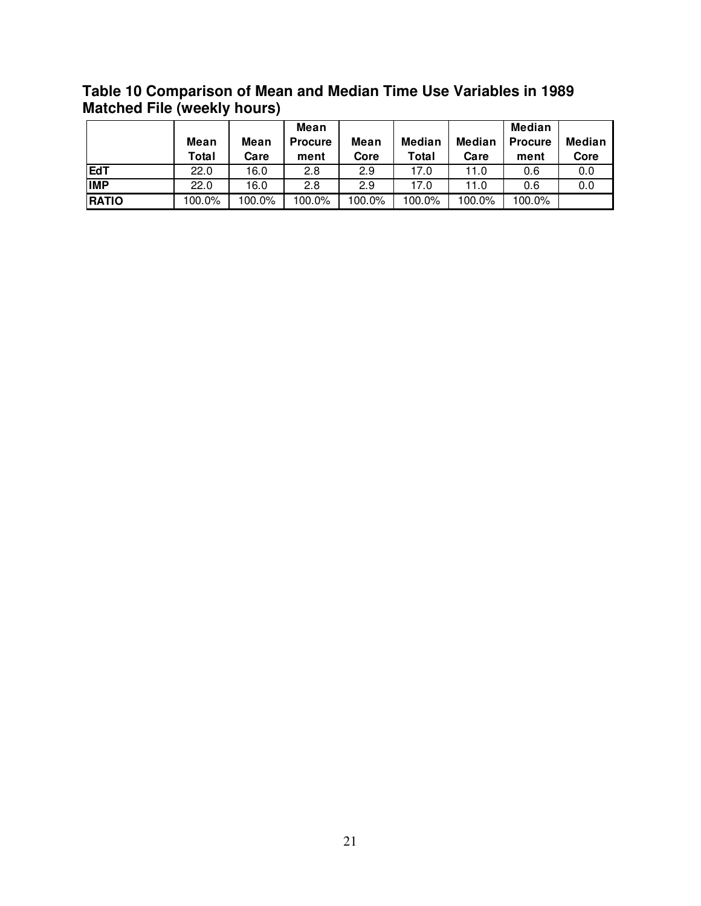### **Table 10 Comparison of Mean and Median Time Use Variables in 1989 Matched File (weekly hours)**

|              |        |        | Mean           |        |        |               | Median         |               |
|--------------|--------|--------|----------------|--------|--------|---------------|----------------|---------------|
|              | Mean   | Mean   | <b>Procure</b> | Mean   | Median | <b>Median</b> | <b>Procure</b> | <b>Median</b> |
|              | Total  | Care   | ment           | Core   | Total  | Care          | ment           | Core          |
| <b>EdT</b>   | 22.0   | 16.0   | 2.8            | 2.9    | 17.0   | 11.0          | 0.6            | 0.0           |
| <b>IMP</b>   | 22.0   | 16.0   | 2.8            | 2.9    | 17.0   | 11.0          | 0.6            | 0.0           |
| <b>RATIO</b> | 100.0% | 100.0% | 100.0%         | 100.0% | 100.0% | 100.0%        | 100.0%         |               |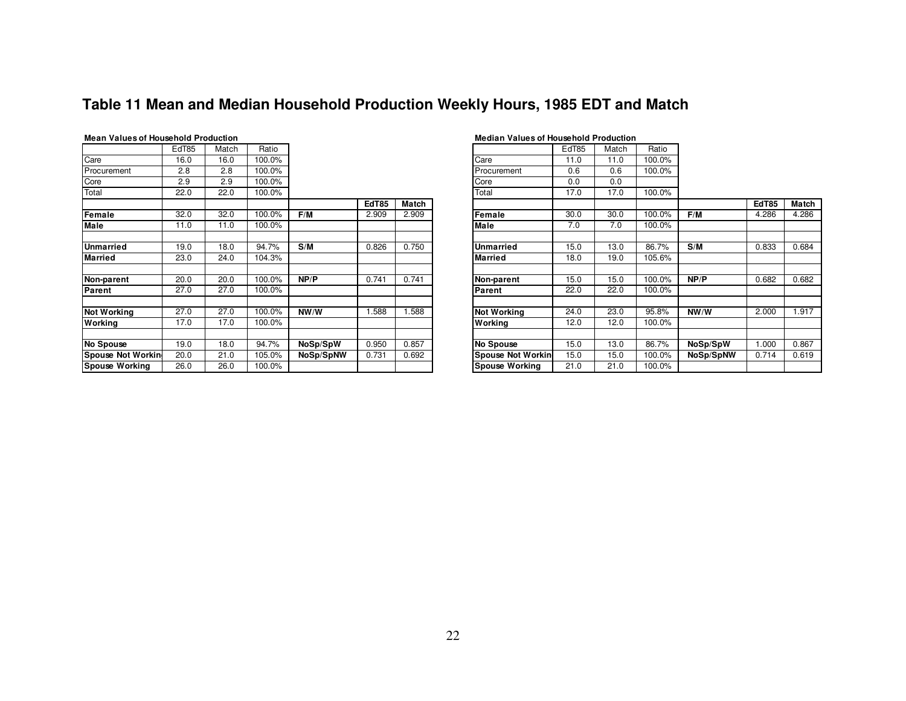### **Table 11 Mean and Median Household Production Weekly Hours, 1985 EDT and Match**

| <b>Mean Values of Household Production</b> |       |       |        |           |              |              | <b>Median Values of Household Produc</b> |       |                 |
|--------------------------------------------|-------|-------|--------|-----------|--------------|--------------|------------------------------------------|-------|-----------------|
|                                            | EdT85 | Match | Ratio  |           |              |              |                                          | EdT85 | Mato            |
| Care                                       | 16.0  | 16.0  | 100.0% |           |              |              | Care                                     | 11.0  | 11.0            |
| Procurement                                | 2.8   | 2.8   | 100.0% |           |              |              | Procurement                              | 0.6   | 0.6             |
| Core                                       | 2.9   | 2.9   | 100.0% |           |              |              | Core                                     | 0.0   | 0. <sub>C</sub> |
| Total                                      | 22.0  | 22.0  | 100.0% |           |              |              | Total                                    | 17.0  | 17.0            |
|                                            |       |       |        |           | <b>EdT85</b> | <b>Match</b> |                                          |       |                 |
| <b>Female</b>                              | 32.0  | 32.0  | 100.0% | F/M       | 2.909        | 2.909        | Female                                   | 30.0  | 30.0            |
| <b>Male</b>                                | 11.0  | 11.0  | 100.0% |           |              |              | Male                                     | 7.0   | 7 <sub>c</sub>  |
| <b>Unmarried</b>                           | 19.0  | 18.0  | 94.7%  | S/M       | 0.826        | 0.750        | Unmarried                                | 15.0  | 13.0            |
| <b>Married</b>                             | 23.0  | 24.0  | 104.3% |           |              |              | <b>Married</b>                           | 18.0  | 19.0            |
| Non-parent                                 | 20.0  | 20.0  | 100.0% | NP/P      | 0.741        | 0.741        | Non-parent                               | 15.0  | 15.0            |
| Parent                                     | 27.0  | 27.0  | 100.0% |           |              |              | Parent                                   | 22.0  | 22.0            |
| Not Working                                | 27.0  | 27.0  | 100.0% | NW/W      | 1.588        | 1.588        | <b>Not Working</b>                       | 24.0  | 23.0            |
| Working                                    | 17.0  | 17.0  | 100.0% |           |              |              | Working                                  | 12.0  | 12.0            |
| <b>No Spouse</b>                           | 19.0  | 18.0  | 94.7%  | NoSp/SpW  | 0.950        | 0.857        | No Spouse                                | 15.0  | 13.0            |
| Spouse Not Workin                          | 20.0  | 21.0  | 105.0% | NoSp/SpNW | 0.731        | 0.692        | Spouse Not Workin                        | 15.0  | 15.0            |
| <b>Spouse Working</b>                      | 26.0  | 26.0  | 100.0% |           |              |              | <b>Spouse Working</b>                    | 21.0  | 21.0            |

|           |              |              |                       | EdT85 | Match                    | Ratio  |           |              |              |
|-----------|--------------|--------------|-----------------------|-------|--------------------------|--------|-----------|--------------|--------------|
|           |              |              | Care                  | 11.0  | 11.0                     | 100.0% |           |              |              |
|           |              |              | Procurement           | 0.6   | 0.6                      | 100.0% |           |              |              |
|           |              |              | Core                  | 0.0   | 0.0                      |        |           |              |              |
|           |              |              | Total                 | 17.0  | 17.0                     | 100.0% |           |              |              |
|           | <b>EdT85</b> | <b>Match</b> |                       |       |                          |        |           | <b>EdT85</b> | <b>Match</b> |
| F/M       | 2.909        | 2.909        | Female                | 30.0  | 30.0                     | 100.0% | F/M       | 4.286        | 4.286        |
|           |              |              | Male                  | 7.0   | 7.0                      | 100.0% |           |              |              |
|           |              |              |                       |       |                          |        |           |              |              |
| S/M       | 0.826        | 0.750        | Unmarried             | 15.0  | 13.0                     | 86.7%  | S/M       | 0.833        | 0.684        |
|           |              |              | <b>Married</b>        | 18.0  | 19.0                     | 105.6% |           |              |              |
|           |              |              |                       |       |                          |        |           |              |              |
| NP/P      | 0.741        | 0.741        | Non-parent            | 15.0  | 15.0                     | 100.0% | NP/P      | 0.682        | 0.682        |
|           |              |              | Parent                | 22.0  | 22.0                     | 100.0% |           |              |              |
|           |              |              |                       |       |                          |        |           |              |              |
| NW/W      | .588         | 1.588        | <b>Not Working</b>    | 24.0  | 23.0                     | 95.8%  | NW/W      | 2.000        | 1.917        |
|           |              |              | Working               | 12.0  | 12.0                     | 100.0% |           |              |              |
|           |              |              |                       |       |                          |        |           |              |              |
| NoSp/SpW  | 0.950        | 0.857        | No Spouse             | 15.0  | 13.0                     | 86.7%  | NoSp/SpW  | 1.000        | 0.867        |
| NoSp/SpNW | 0.731        | 0.692        |                       | 15.0  | 15.0                     | 100.0% | NoSp/SpNW | 0.714        | 0.619        |
|           |              |              | <b>Spouse Working</b> | 21.0  | 21.0                     | 100.0% |           |              |              |
|           |              |              |                       |       | <b>Spouse Not Workin</b> |        |           |              |              |

**Median Values of Household Production**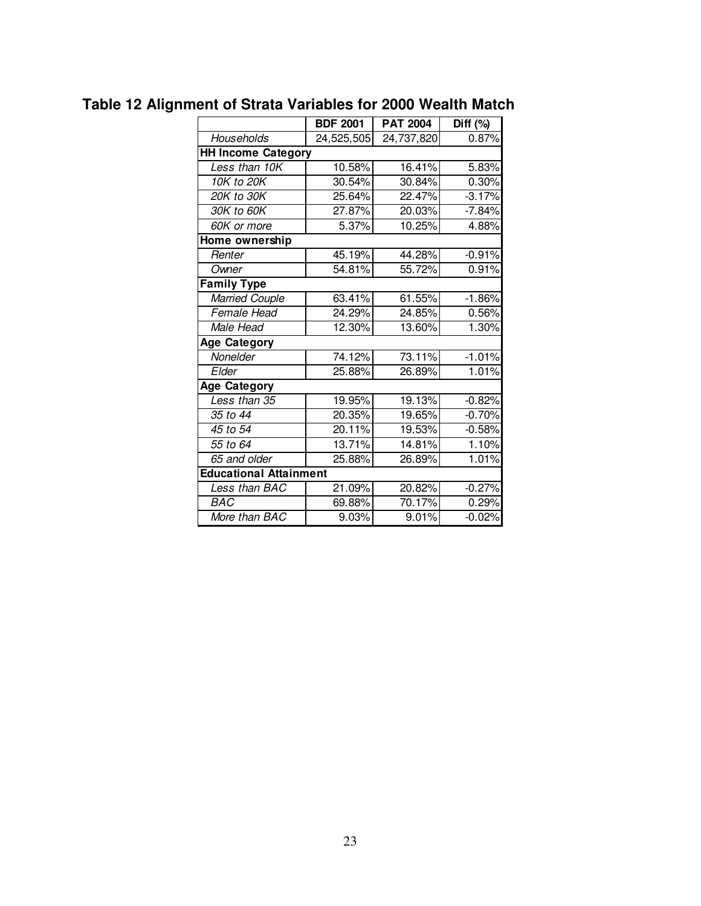|                               | <b>BDF 2001</b> | <b>PAT 2004</b> | Diff $(%)$ |
|-------------------------------|-----------------|-----------------|------------|
| Households                    | 24,525,505      | 24,737,820      | 0.87%      |
| <b>HH Income Category</b>     |                 |                 |            |
| Less than 10K                 | 10.58%          | 16.41%          | 5.83%      |
| $\overline{10}$ K to 20K      | 30.54%          | 30.84%          | 0.30%      |
| 20K to 30K                    | 25.64%          | 22.47%          | $-3.17%$   |
| 30K to 60K                    | 27.87%          | 20.03%          | $-7.84%$   |
| 60K or more                   | 5.37%           | 10.25%          | 4.88%      |
| Home ownership                |                 |                 |            |
| Renter                        | 45.19%          | 44.28%          | $-0.91%$   |
| Owner                         | 54.81%          | 55.72%          | 0.91%      |
| <b>Family Type</b>            |                 |                 |            |
| <b>Married Couple</b>         | 63.41%          | 61.55%          | $-1.86%$   |
| Female Head                   | 24.29%          | 24.85%          | 0.56%      |
| Male Head                     | 12.30%          | 13.60%          | 1.30%      |
| <b>Age Category</b>           |                 |                 |            |
| Nonelder                      | 74.12%          | 73.11%          | $-1.01%$   |
| Elder                         | 25.88%          | 26.89%          | 1.01%      |
| <b>Age Category</b>           |                 |                 |            |
| Less than 35                  | 19.95%          | 19.13%          | $-0.82%$   |
| 35 to 44                      | 20.35%          | 19.65%          | $-0.70%$   |
| 45 to 54                      | 20.11%          | 19.53%          | $-0.58%$   |
| 55 to 64                      | 13.71%          | 14.81%          | 1.10%      |
| 65 and older                  | 25.88%          | 26.89%          | 1.01%      |
| <b>Educational Attainment</b> |                 |                 |            |
| Less than BAC                 | 21.09%          | 20.82%          | $-0.27%$   |
| BAC                           | 69.88%          | 70.17%          | 0.29%      |
| More than BAC                 | 9.03%           | 9.01%           | $-0.02%$   |

# **Table 12 Alignment of Strata Variables for 2000 Wealth Match**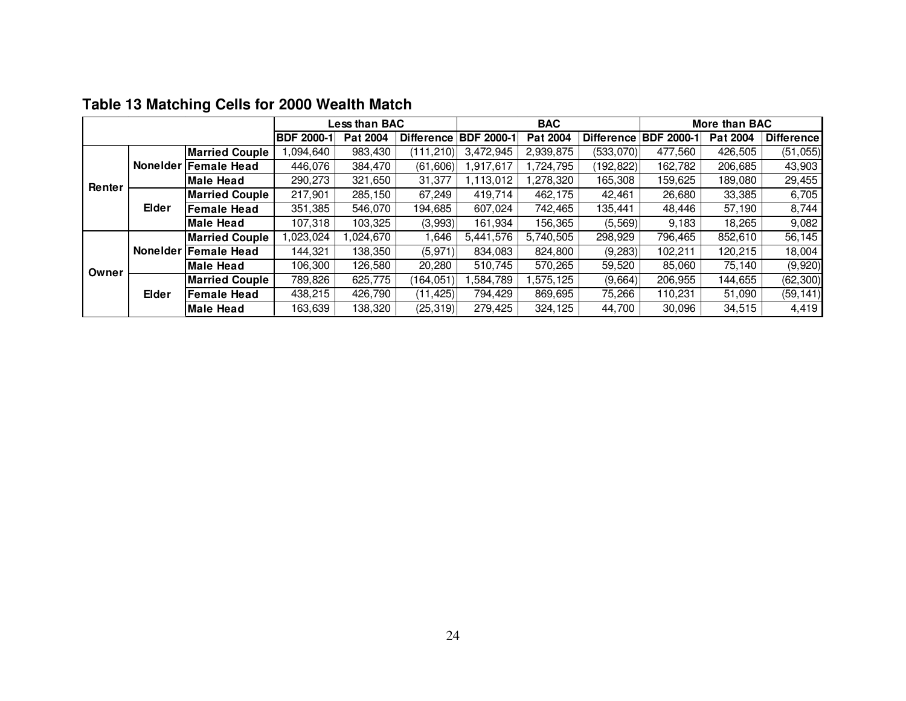|        |              |                       |                   | <b>Less than BAC</b> |                   |                   | <b>BAC</b> |                   | More than BAC     |          |                   |
|--------|--------------|-----------------------|-------------------|----------------------|-------------------|-------------------|------------|-------------------|-------------------|----------|-------------------|
|        |              |                       | <b>BDF 2000-1</b> | Pat 2004             | <b>Difference</b> | <b>BDF 2000-1</b> | Pat 2004   | <b>Difference</b> | <b>BDF 2000-1</b> | Pat 2004 | <b>Difference</b> |
|        |              | <b>Married Couple</b> | ,094,640          | 983,430              | (111, 210)        | 3,472,945         | 2,939,875  | (533,070)         | 477,560           | 426,505  | (51, 055)         |
|        |              | Nonelder Female Head  | 446,076           | 384,470              | (61,606)          | ,917,617          | ,724,795   | (192,822)         | 162,782           | 206,685  | 43,903            |
| Renter |              | Male Head             | 290,273           | 321,650              | 31,377            | ,113,012          | ,278,320   | 165,308           | 159,625           | 189.080  | 29,455            |
|        | <b>Elder</b> | <b>Married Couple</b> | 217,901           | 285,150              | 67.249            | 419.714           | 462,175    | 42,461            | 26,680            | 33,385   | 6,705             |
|        |              | Female Head           | 351,385           | 546,070              | 194,685           | 607,024           | 742,465    | 135,441           | 48,446            | 57,190   | 8,744             |
|        |              | Male Head             | 107,318           | 103,325              | (3,993)           | 161,934           | 156,365    | (5, 569)          | 9,183             | 18,265   | 9,082             |
|        |              | <b>Married Couple</b> | ,023,024          | 1,024,670            | 646, ا            | 5,441,576         | 5,740,505  | 298,929           | 796,465           | 852,610  | 56,145            |
|        |              | Nonelder Female Head  | 144,321           | 138,350              | (5,971)           | 834.083           | 824,800    | (9, 283)          | 102.211           | 120,215  | 18,004            |
| Owner  |              | Male Head             | 106,300           | 126,580              | 20,280            | 510.745           | 570,265    | 59,520            | 85,060            | 75,140   | (9,920)           |
|        |              | <b>Married Couple</b> | 789,826           | 625,775              | (164,051)         | ,584,789          | ,575,125   | (9,664)           | 206,955           | 144,655  | (62, 300)         |
|        | Elder        | <b>Female Head</b>    | 438,215           | 426,790              | (11,425)          | 794.429           | 869,695    | 75,266            | 110,231           | 51,090   | (59, 141)         |
|        |              | Male Head             | 163,639           | 138,320              | (25, 319)         | 279,425           | 324,125    | 44,700            | 30,096            | 34,515   | 4,419             |

### **Table 13 Matching Cells for 2000 Wealth Match**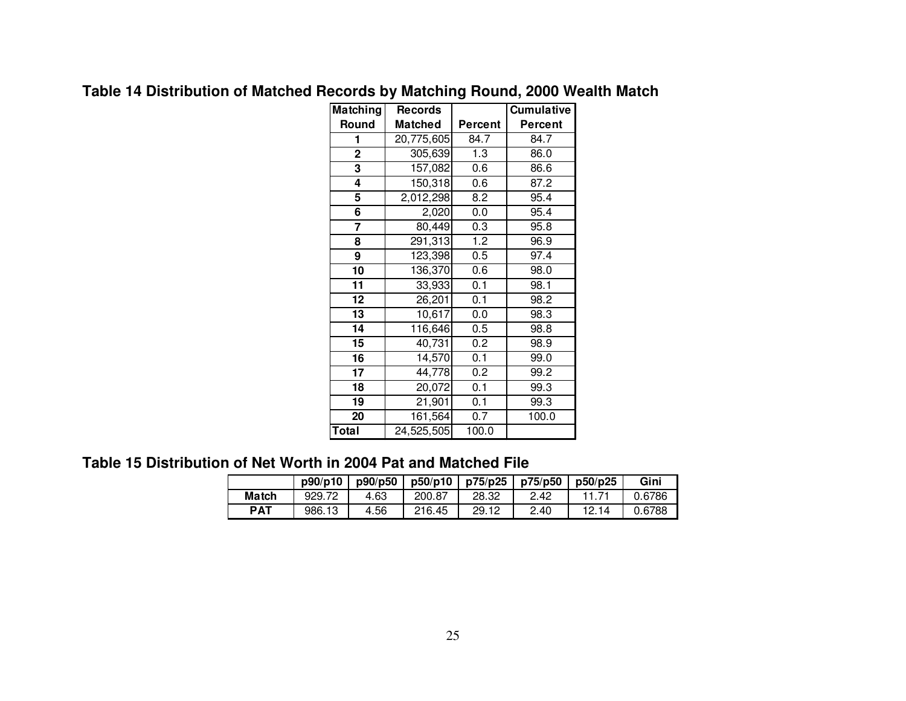| Matching    | <b>Records</b> |                | <b>Cumulative</b> |
|-------------|----------------|----------------|-------------------|
| Round       | <b>Matched</b> | <b>Percent</b> | <b>Percent</b>    |
| 1           | 20,775,605     | 84.7           | 84.7              |
| $\mathbf 2$ | 305,639        | 1.3            | 86.0              |
| 3           | 157,082        | 0.6            | 86.6              |
| 4           | 150,318        | 0.6            | 87.2              |
| 5           | 2,012,298      | 8.2            | 95.4              |
| 6           | 2,020          | 0.0            | 95.4              |
| 7           | 80,449         | 0.3            | 95.8              |
| 8           | 291,313        | 1.2            | 96.9              |
| 9           | 123,398        | 0.5            | 97.4              |
| 10          | 136,370        | 0.6            | 98.0              |
| 11          | 33,933         | 0.1            | 98.1              |
| 12          | 26,201         | 0.1            | 98.2              |
| 13          | 10,617         | 0.0            | 98.3              |
| 14          | 116,646        | 0.5            | 98.8              |
| 15          | 40,731         | 0.2            | 98.9              |
| 16          | 14,570         | 0.1            | 99.0              |
| 17          | 44,778         | 0.2            | 99.2              |
| 18          | 20,072         | 0.1            | 99.3              |
| 19          | 21,901         | 0.1            | 99.3              |
| 20          | 161,564        | 0.7            | 100.0             |
| Total       | 24,525,505     | 100.0          |                   |

### **Table 14 Distribution of Matched Records by Matching Round, 2000 Wealth Match**

### **Table 15 Distribution of Net Worth in 2004 Pat and Matched File**

|            | p90/p10 | p90/p50 | p50/p10 | p75/p25 | p75/p50 | p50/p25 | Gini   |
|------------|---------|---------|---------|---------|---------|---------|--------|
| Match      | 929.72  | 4.63    | 200.87  | 28.32   | 2.42    |         | 0.6786 |
| <b>PAT</b> | 986.13  | 4.56    | 216.45  | 29.12   | 2.40    | 12.14   | 0.6788 |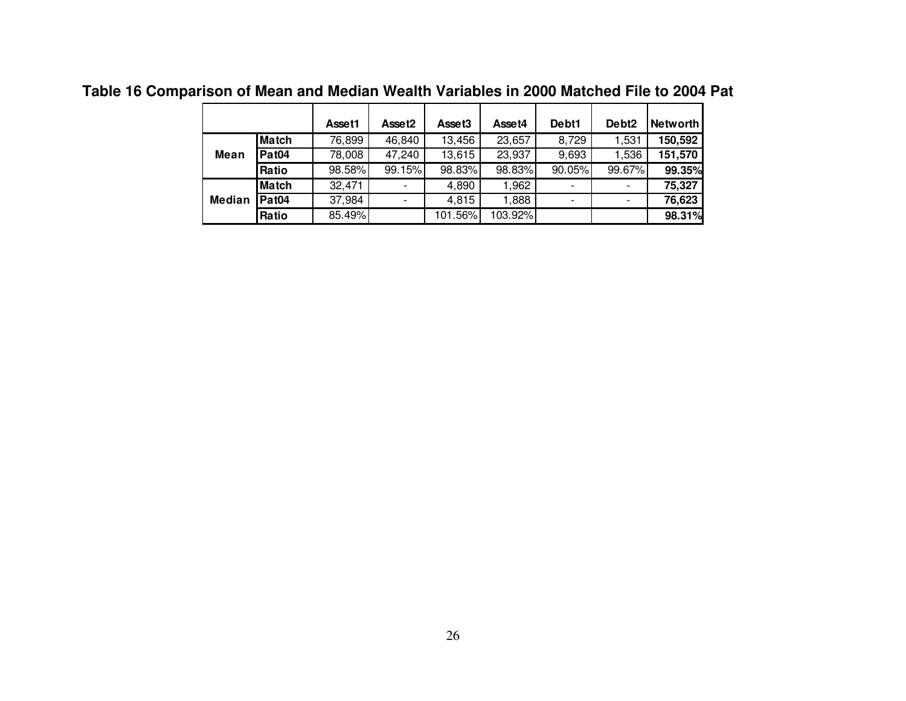|               |                   | Asset1 | Asset <sub>2</sub> | Asset <sub>3</sub> | Asset4  | Debt1  | Debt <sub>2</sub> | Networth |
|---------------|-------------------|--------|--------------------|--------------------|---------|--------|-------------------|----------|
|               | <b>Match</b>      | 76,899 | 46,840             | 13,456             | 23,657  | 8,729  | 1,531             | 150,592  |
| Mean          | Pat <sub>04</sub> | 78,008 | 47,240             | 13,615             | 23,937  | 9,693  | 1,536             | 151,570  |
|               | Ratio             | 98.58% | 99.15%             | 98.83%             | 98.83%  | 90.05% | 99.67%            | 99.35%   |
|               | <b>Match</b>      | 32,471 |                    | 4,890              | 1,962   |        |                   | 75,327   |
| <b>Median</b> | Pat <sub>04</sub> | 37,984 |                    | 4,815              | 1,888   |        |                   | 76,623   |
|               | Ratio             | 85.49% |                    | 101.56%            | 103.92% |        |                   | 98.31%   |

**Table 16 Comparison of Mean and Median Wealth Variables in 2000 Matched File to 2004 Pat**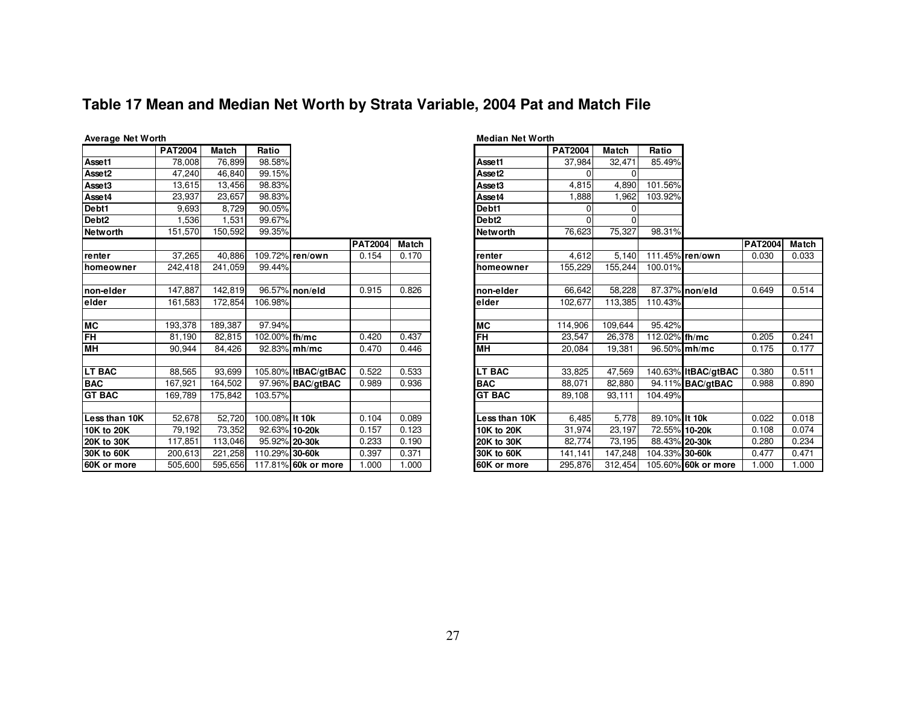### **Table 17 Mean and Median Net Worth by Strata Variable, 2004 Pat and Match File**

|                   | <b>PAT2004</b> | <b>Match</b> | Ratio          |                     |                |       |                   |  |
|-------------------|----------------|--------------|----------------|---------------------|----------------|-------|-------------------|--|
| Asset1            | 78,008         | 76,899       | 98.58%         |                     |                |       | Asset1            |  |
| Asset2            | 47,240         | 46,840       | 99.15%         |                     |                |       | Asset2            |  |
| Asset3            | 13,615         | 13,456       | 98.83%         |                     |                |       | Asset3            |  |
| Asset4            | 23,937         | 23,657       | 98.83%         |                     |                |       | Asset4            |  |
| Debt1             | 9,693          | 8,729        | 90.05%         |                     |                |       | Debt1             |  |
| Debt <sub>2</sub> | 1,536          | 1,531        | 99.67%         |                     |                |       | Debt <sub>2</sub> |  |
| <b>Networth</b>   | 151,570        | 150,592      | 99.35%         |                     |                |       | <b>Networth</b>   |  |
|                   |                |              |                |                     | <b>PAT2004</b> | Match |                   |  |
| renter            | 37,265         | 40,886       |                | 109.72% ren/own     | 0.154          | 0.170 | renter            |  |
| homeowner         | 242,418        | 241,059      | 99.44%         |                     |                |       | homeowner         |  |
|                   |                |              |                |                     |                |       |                   |  |
| non-elder         | 147,887        | 142,819      |                | 96.57% non/eld      | 0.915          | 0.826 | non-elder         |  |
| elder             | 161,583        | 172,854      | 106.98%        |                     |                |       | elder             |  |
|                   |                |              |                |                     |                |       |                   |  |
| <b>MC</b>         | 193,378        | 189,387      | 97.94%         |                     |                |       | <b>MC</b>         |  |
| <b>FH</b>         | 81,190         | 82,815       | 102.00% th/mc  |                     | 0.420          | 0.437 | <b>FH</b>         |  |
| HM                | 90.944         | 84,426       |                | 92.83% mh/mc        | 0.470          | 0.446 | <b>MH</b>         |  |
|                   |                |              |                |                     |                |       |                   |  |
| <b>LT BAC</b>     | 88,565         | 93,699       |                | 105.80% ItBAC/gtBAC | 0.522          | 0.533 | <b>LT BAC</b>     |  |
| <b>BAC</b>        | 167,921        | 164,502      |                | 97.96% BAC/gtBAC    | 0.989          | 0.936 | <b>BAC</b>        |  |
| <b>GT BAC</b>     | 169,789        | 175,842      | 103.57%        |                     |                |       | <b>GT BAC</b>     |  |
|                   |                |              |                |                     |                |       |                   |  |
| Less than 10K     | 52,678         | 52,720       | 100.08% It 10k |                     | 0.104          | 0.089 | Less than 10K     |  |
| 10K to 20K        | 79,192         | 73,352       | 92.63% 10-20k  |                     | 0.157          | 0.123 | 10K to 20K        |  |
| <b>20K to 30K</b> | 117,851        | 113,046      | 95.92% 20-30k  |                     | 0.233          | 0.190 | 20K to 30K        |  |
| 30K to 60K        | 200,613        | 221,258      | 110.29% 30-60k |                     | 0.397          | 0.371 | 30K to 60K        |  |
| 60K or more       | 505,600        | 595,656      |                | 117.81% 60k or more | 1.000          | 1.000 | 60K or more       |  |

| $\overline{\bullet}$                                        |                        |                |       |                    | <b>PAT2004</b> | <b>Match</b> | Ratio          |                     |                |              |
|-------------------------------------------------------------|------------------------|----------------|-------|--------------------|----------------|--------------|----------------|---------------------|----------------|--------------|
| $\overline{58\%}$                                           |                        |                |       | Asset1             | 37,984         | 32,471       | 85.49%         |                     |                |              |
| $\overline{5\%}$                                            |                        |                |       | Asset <sub>2</sub> | ŋ              |              |                |                     |                |              |
|                                                             |                        |                |       | Asset3             | 4.815          | 4.890        | 101.56%        |                     |                |              |
|                                                             |                        |                |       | Asset4             | 1,888          | 1,962        | 103.92%        |                     |                |              |
|                                                             |                        |                |       | Debt1              | O              |              |                |                     |                |              |
| $\frac{33}{8}$ $\frac{33}{8}$ $\frac{33}{8}$ $\frac{33}{8}$ |                        |                |       | Debt <sub>2</sub>  | $\Omega$       |              |                |                     |                |              |
|                                                             |                        |                |       | <b>Networth</b>    | 76,623         | 75,327       | 98.31%         |                     |                |              |
|                                                             |                        | <b>PAT2004</b> | Match |                    |                |              |                |                     | <b>PAT2004</b> | <b>Match</b> |
|                                                             | <sup>72%</sup> ren/own | 0.154          | 0.170 | renter             | 4.612          | 5.140        |                | 111.45% ren/own     | 0.030          | 0.033        |
| 14%                                                         |                        |                |       | homeowner          | 155,229        | 155,244      | 100.01%        |                     |                |              |
|                                                             |                        |                |       |                    |                |              |                |                     |                |              |
|                                                             | 57% non/eld            | 0.915          | 0.826 | non-elder          | 66,642         | 58,228       |                | 87.37% non/eld      | 0.649          | 0.514        |
| $\overline{8\%}$                                            |                        |                |       | elder              | 102,677        | 113,385      | 110.43%        |                     |                |              |
|                                                             |                        |                |       |                    |                |              |                |                     |                |              |
| 94%                                                         |                        |                |       | <b>MC</b>          | 114.906        | 109,644      | 95.42%         |                     |                |              |
|                                                             | 0% th/mc               | 0.420          | 0.437 | <b>FH</b>          | 23,547         | 26,378       | 112.02% fh/mc  |                     | 0.205          | 0.241        |
|                                                             | 33% mh/mc              | 0.470          | 0.446 | MH                 | 20.084         | 19,381       |                | 96.50% mh/mc        | 0.175          | 0.177        |
|                                                             |                        |                |       |                    |                |              |                |                     |                |              |
|                                                             | 30% ItBAC/gtBAC        | 0.522          | 0.533 | <b>LT BAC</b>      | 33.825         | 47,569       |                | 140.63% ItBAC/gtBAC | 0.380          | 0.511        |
|                                                             | 06% BAC/gtBAC          | 0.989          | 0.936 | <b>BAC</b>         | 88.071         | 82,880       |                | 94.11% BAC/gtBAC    | 0.988          | 0.890        |
| 57%                                                         |                        |                |       | <b>GT BAC</b>      | 89.108         | 93,111       | 104.49%        |                     |                |              |
|                                                             |                        |                |       |                    |                |              |                |                     |                |              |
|                                                             | 08% It 10k             | 0.104          | 0.089 | Less than 10K      | 6.485          | 5.778        | 89.10% It 10k  |                     | 0.022          | 0.018        |
|                                                             | 3% 10-20k              | 0.157          | 0.123 | 10K to 20K         | 31,974         | 23,197       | 72.55% 10-20k  |                     | 0.108          | 0.074        |
|                                                             | 2% 20-30k              | 0.233          | 0.190 | <b>20K to 30K</b>  | 82,774         | 73,195       | 88.43% 20-30k  |                     | 0.280          | 0.234        |
|                                                             | 29% 30-60k             | 0.397          | 0.371 | 30K to 60K         | 141,141        | 147,248      | 104.33% 30-60k |                     | 0.477          | 0.471        |
|                                                             | 31% 60k or more        | 1.000          | 1.000 | 60K or more        | 295.876        | 312,454      |                | 105.60% 60k or more | 1.000          | 1.000        |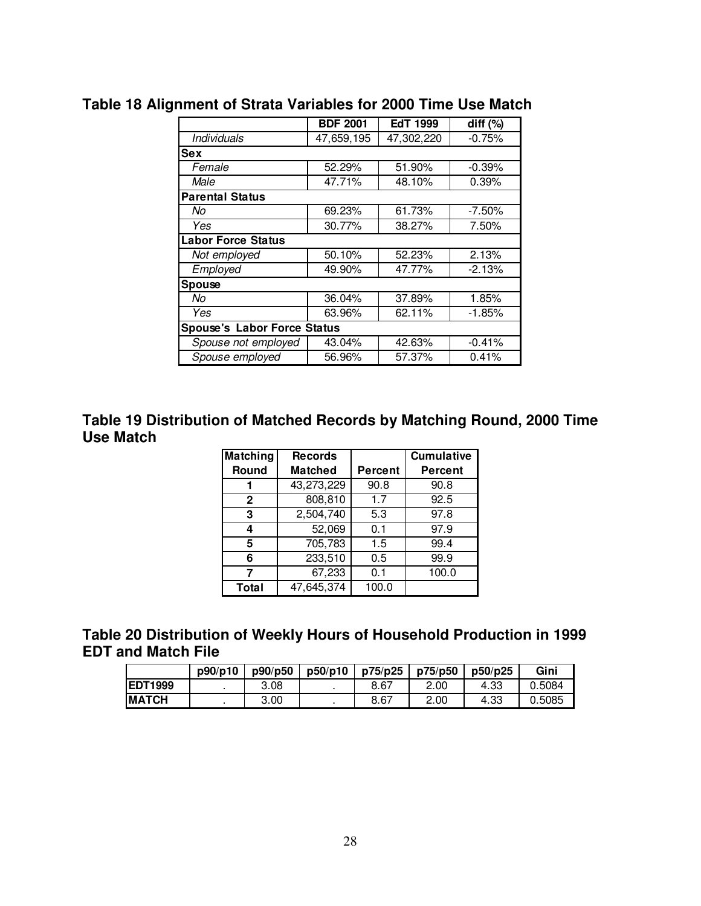|                           | <b>BDF 2001</b>                    | <b>EdT 1999</b> | diff $(%)$ |  |  |  |  |  |  |
|---------------------------|------------------------------------|-----------------|------------|--|--|--|--|--|--|
| <b>Individuals</b>        | 47,659,195                         | 47,302,220      | $-0.75%$   |  |  |  |  |  |  |
| <b>Sex</b>                |                                    |                 |            |  |  |  |  |  |  |
| Female                    | 52.29%                             | 51.90%          | $-0.39%$   |  |  |  |  |  |  |
| Male                      | 47.71%                             | 48.10%          | 0.39%      |  |  |  |  |  |  |
| <b>Parental Status</b>    |                                    |                 |            |  |  |  |  |  |  |
| No                        | 69.23%                             | 61.73%          | $-7.50\%$  |  |  |  |  |  |  |
| Yes                       | 30.77%                             | 38.27%          | 7.50%      |  |  |  |  |  |  |
| <b>Labor Force Status</b> |                                    |                 |            |  |  |  |  |  |  |
| Not employed              | 50.10%                             | 52.23%          | 2.13%      |  |  |  |  |  |  |
| Employed                  | 49.90%                             | 47.77%          | $-2.13%$   |  |  |  |  |  |  |
| <b>Spouse</b>             |                                    |                 |            |  |  |  |  |  |  |
| No                        | 36.04%                             | 37.89%          | 1.85%      |  |  |  |  |  |  |
| Yes                       | 63.96%                             | 62.11%          | $-1.85%$   |  |  |  |  |  |  |
|                           | <b>Spouse's Labor Force Status</b> |                 |            |  |  |  |  |  |  |
| Spouse not employed       | 43.04%                             | 42.63%          | $-0.41%$   |  |  |  |  |  |  |
| Spouse employed           | 56.96%                             | 57.37%          | 0.41%      |  |  |  |  |  |  |

## **Table 18 Alignment of Strata Variables for 2000 Time Use Match**

**Table 19 Distribution of Matched Records by Matching Round, 2000 Time Use Match** 

| Matching     | <b>Records</b> |                | <b>Cumulative</b> |
|--------------|----------------|----------------|-------------------|
| Round        | <b>Matched</b> | <b>Percent</b> | <b>Percent</b>    |
|              | 43,273,229     | 90.8           | 90.8              |
| $\mathbf{2}$ | 808,810        | 1.7            | 92.5              |
| 3            | 2,504,740      | 5.3            | 97.8              |
| 4            | 52,069         | 0.1            | 97.9              |
| 5            | 705,783        | 1.5            | 99.4              |
| 6            | 233,510        | 0.5            | 99.9              |
| 7            | 67,233         | 0.1            | 100.0             |
| Total        | 47,645,374     | 100.0          |                   |

### **Table 20 Distribution of Weekly Hours of Household Production in 1999 EDT and Match File**

|                 | p90/p10 | p90/p50 | p50/p10 | p75/p25 | p75/p50 | p50/p25 | Gini   |
|-----------------|---------|---------|---------|---------|---------|---------|--------|
| <b>IEDT1999</b> |         | 3.08    |         | 8.67    | 2.00    | 4.33    | 0.5084 |
| <b>IMATCH</b>   |         | 3.00    |         | 8.67    | 2.00    | 4.33    | 0.5085 |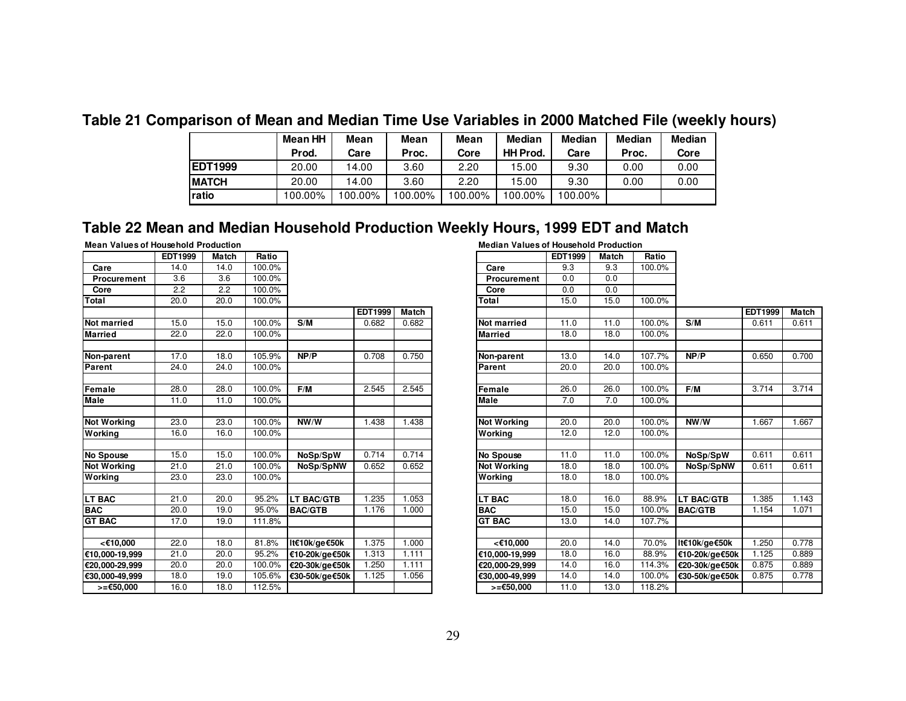### **Table 21 Comparison of Mean and Median Time Use Variables in 2000 Matched File (weekly hours)**

|                | Mean HH | Mean   | Mean    | Mean    | <b>Median</b>   | Median  | Median | <b>Median</b> |
|----------------|---------|--------|---------|---------|-----------------|---------|--------|---------------|
|                | Prod.   | Care   | Proc.   | Core    | <b>HH Prod.</b> | Care    | Proc.  | Core          |
| <b>EDT1999</b> | 20.00   | 14.00  | 3.60    | 2.20    | 15.00           | 9.30    | 0.00   | 0.00          |
| <b>IMATCH</b>  | 20.00   | 14.00  | 3.60    | 2.20    | 15.00           | 9.30    | 0.00   | 0.00          |
| ratio          | 00.00%  | 00.00% | 100.00% | 100.00% | 100.00%         | 100.00% |        |               |

### **Table 22 Mean and Median Household Production Weekly Hours, 1999 EDT and Match**

#### **Mean Values of Household Production**

|                    | <b>EDT1999</b> | Match | Ratio  |                   |         |              |                    | EDT1999 | Match | Ratio  |
|--------------------|----------------|-------|--------|-------------------|---------|--------------|--------------------|---------|-------|--------|
| Care               | 14.0           | 14.0  | 100.0% |                   |         |              | Care               | 9.3     | 9.3   | 100.0% |
| <b>Procurement</b> | 3.6            | 3.6   | 100.0% |                   |         |              | Procurement        | 0.0     | 0.0   |        |
| Core               | 2.2            | 2.2   | 100.0% |                   |         |              | Core               | 0.0     | 0.0   |        |
| Total              | 20.0           | 20.0  | 100.0% |                   |         |              | Total              | 15.0    | 15.0  | 100.0% |
|                    |                |       |        |                   | EDT1999 | <b>Match</b> |                    |         |       |        |
| <b>Not married</b> | 15.0           | 15.0  | 100.0% | S/M               | 0.682   | 0.682        | <b>Not married</b> | 11.0    | 11.0  | 100.0% |
| <b>Married</b>     | 22.0           | 22.0  | 100.0% |                   |         |              | <b>Married</b>     | 18.0    | 18.0  | 100.0% |
| Non-parent         | 17.0           | 18.0  | 105.9% | NP/P              | 0.708   | 0.750        | Non-parent         | 13.0    | 14.0  | 107.7% |
| Parent             | 24.0           | 24.0  | 100.0% |                   |         |              | Parent             | 20.0    | 20.0  | 100.0% |
| Female             | 28.0           | 28.0  | 100.0% | F/M               | 2.545   | 2.545        | Female             | 26.0    | 26.0  | 100.0% |
| <b>Male</b>        | 11.0           | 11.0  | 100.0% |                   |         |              | <b>Male</b>        | 7.0     | 7.0   | 100.0% |
| <b>Not Working</b> | 23.0           | 23.0  | 100.0% | NW/W              | 1.438   | 1.438        | <b>Not Working</b> | 20.0    | 20.0  | 100.0% |
| Working            | 16.0           | 16.0  | 100.0% |                   |         |              | Working            | 12.0    | 12.0  | 100.0% |
| <b>No Spouse</b>   | 15.0           | 15.0  | 100.0% | NoSp/SpW          | 0.714   | 0.714        | <b>No Spouse</b>   | 11.0    | 11.0  | 100.0% |
| <b>Not Working</b> | 21.0           | 21.0  | 100.0% | NoSp/SpNW         | 0.652   | 0.652        | Not Working        | 18.0    | 18.0  | 100.0% |
| Working            | 23.0           | 23.0  | 100.0% |                   |         |              | Working            | 18.0    | 18.0  | 100.0% |
| <b>LT BAC</b>      | 21.0           | 20.0  | 95.2%  | <b>LT BAC/GTB</b> | 1.235   | 1.053        | LT BAC             | 18.0    | 16.0  | 88.9%  |
| <b>BAC</b>         | 20.0           | 19.0  | 95.0%  | <b>BAC/GTB</b>    | 1.176   | 1.000        | <b>BAC</b>         | 15.0    | 15.0  | 100.0% |
| <b>GT BAC</b>      | 17.0           | 19.0  | 111.8% |                   |         |              | <b>GT BAC</b>      | 13.0    | 14.0  | 107.7% |
| <€10,000           | 22.0           | 18.0  | 81.8%  | It€10k/ge€50k     | 1.375   | 1.000        | <€10,000           | 20.0    | 14.0  | 70.0%  |
| €10,000-19,999     | 21.0           | 20.0  | 95.2%  | €10-20k/ge€50k    | 1.313   | 1.111        | €10,000-19,999     | 18.0    | 16.0  | 88.9%  |
| €20,000-29,999     | 20.0           | 20.0  | 100.0% | €20-30k/ge €50k   | 1.250   | 1.111        | €20,000-29,999     | 14.0    | 16.0  | 114.3% |
| €30,000-49,999     | 18.0           | 19.0  | 105.6% | €30-50k/ge€50k    | 1.125   | 1.056        | €30,000-49,999     | 14.0    | 14.0  | 100.0% |
| $>=$ €50,000       | 16.0           | 18.0  | 112.5% |                   |         |              | $>=$ €50,000       | 11.0    | 13.0  | 118.2% |

 **Median Values of Household Production EDT1999 Match Ratio Care** 9.3 9.3 100.0% **Total** 15.0 15.0 100.0% **EDT1999 Match S/M** 0.682 0.682 **Not married** 11.0 11.0 100.0% **S/M** 0.611 0.611 **Married** 18.0 18.0 100.0% **NP/P** 0.708 0.750 **Non-parent** 13.0 14.0 107.7% **NP/P** 0.650 0.700 **Parent** 20.0 20.0 100.0% **F/M** 2.545 2.545 **Female** 26.0 26.0 100.0% **F/M** 3.714 3.714 **Male** 7.0 7.0 100.0% 1.438 1.438 **Not Working** 20.0 20.0 100.0% **NW/W** 1.667 1.667 **Working** 12.0 12.0 100.0% 0.714 0.714 **No Spouse** 11.0 11.0 100.0% **NoSp/SpW** 0.611 0.611 0.652 0.652 **Not Working** 18.0 18.0 100.0% **NoSp/SpNW** 0.611 0.611 **Working** 18.0 18.0 100.0% **LT BAC/GTB** 1.235 1.053 **LT BAC** 18.0 16.0 88.9% **LT BAC/GTB** 1.385 1.143 **BAC/GTB** 1.176 1.000 **BAC** 15.0 15.0 100.0% **BAC/GTB** 1.154 1.071 **CT BAC** 13.0 14.0 107.7% **lt€10k/ge€50k** 1.375 1.000 **<€10,000** 20.0 14.0 70.0% **lt€10k/ge€50k** 1.250 0.778 **€10-20k/ge€50k** 1.313 1.111 **€10,000-19,999** 18.0 16.0 88.9% **€10-20k/ge€50k** 1.125 0.889 **€20-30k/ge€50k** 1.250 1.111 **€20,000-29,999** 14.0 16.0 114.3% **€20-30k/ge€50k** 0.875 0.889 **€30-50k/ge€50k** 1.125 1.056 **€30,000-49,999** 14.0 14.0 100.0% **€30-50k/ge€50k** 0.875 0.778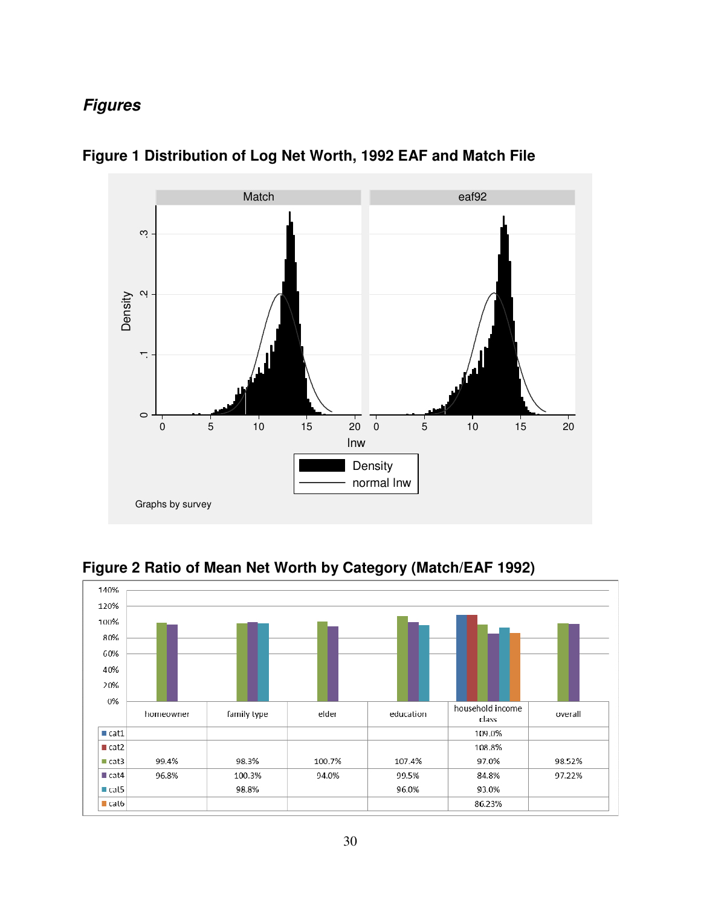# **Figures**



**Figure 1 Distribution of Log Net Worth, 1992 EAF and Match File** 



**Figure 2 Ratio of Mean Net Worth by Category (Match/EAF 1992)**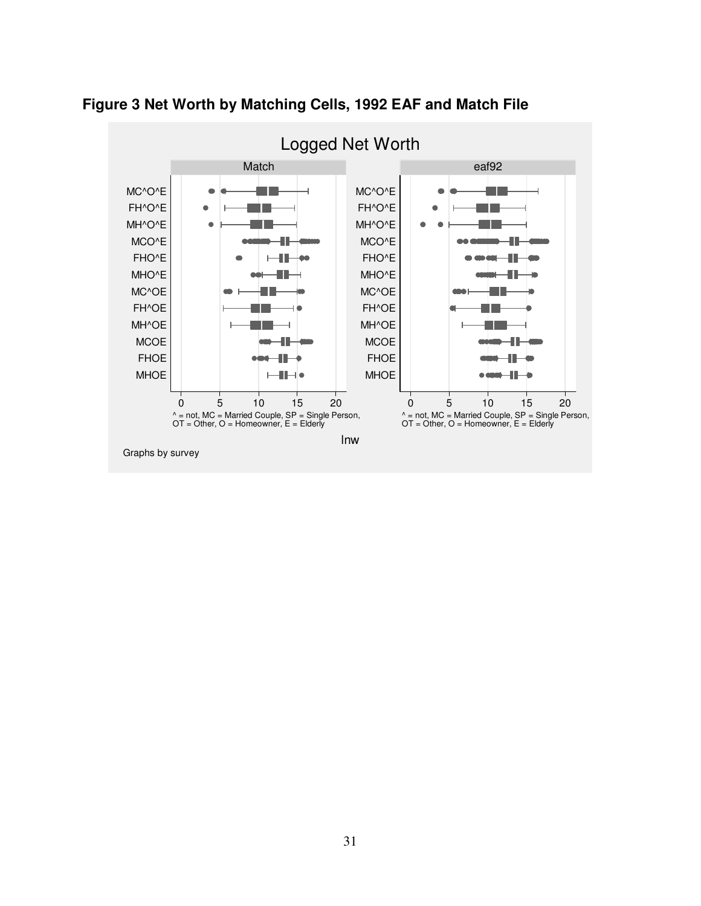

**Figure 3 Net Worth by Matching Cells, 1992 EAF and Match File**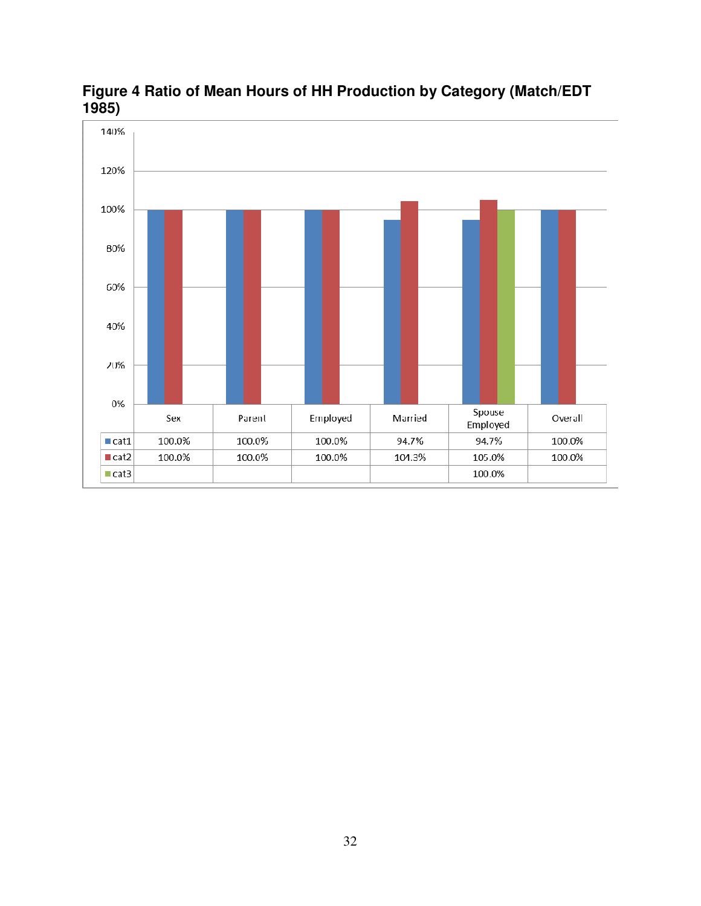

### **Figure 4 Ratio of Mean Hours of HH Production by Category (Match/EDT 1985)**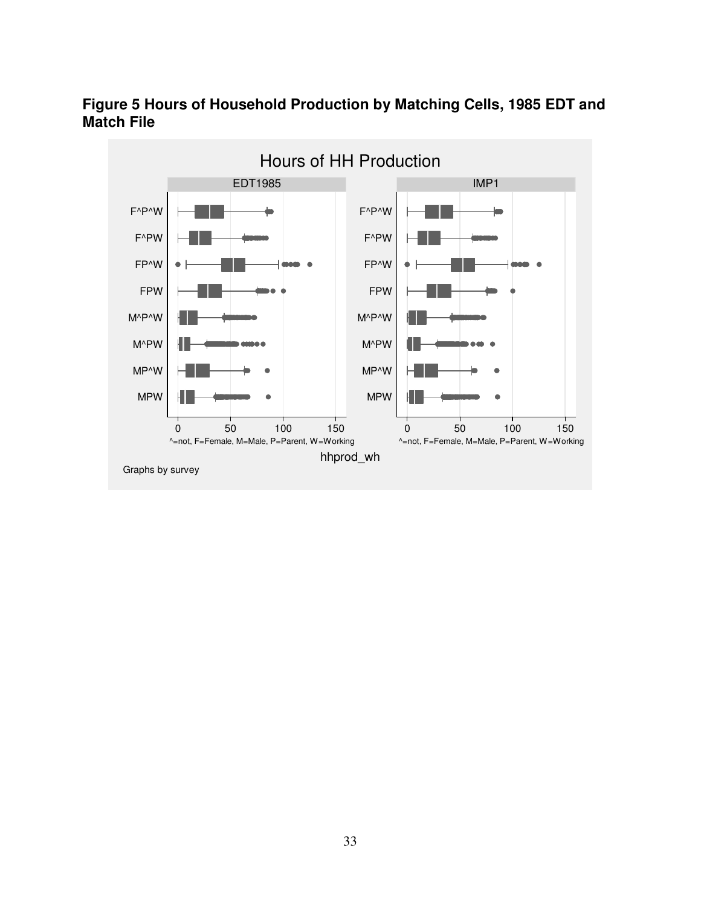

### **Figure 5 Hours of Household Production by Matching Cells, 1985 EDT and Match File**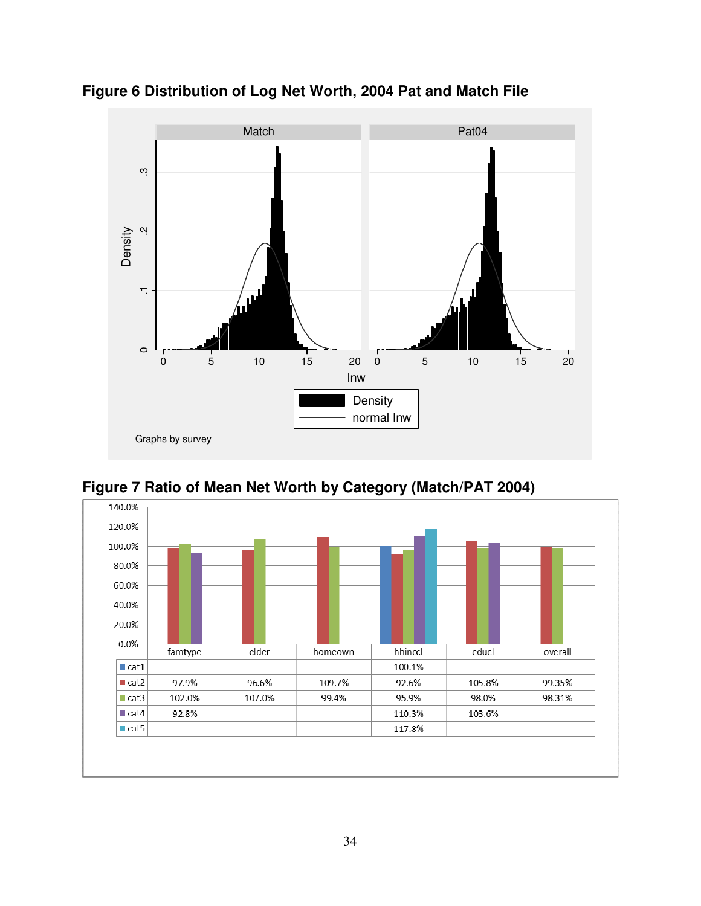

**Figure 6 Distribution of Log Net Worth, 2004 Pat and Match File** 



**Figure 7 Ratio of Mean Net Worth by Category (Match/PAT 2004)**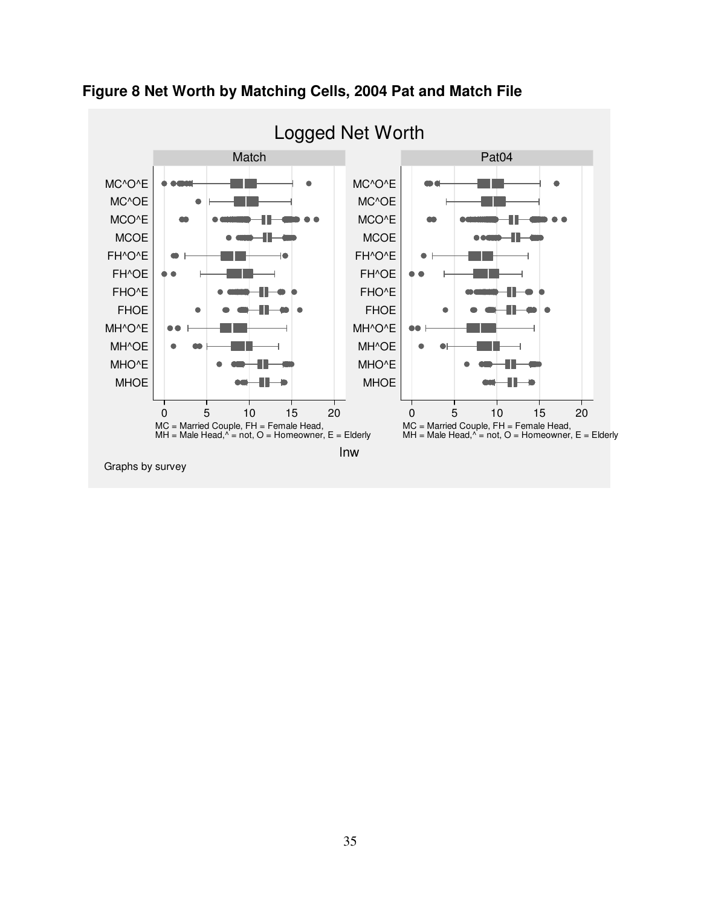



35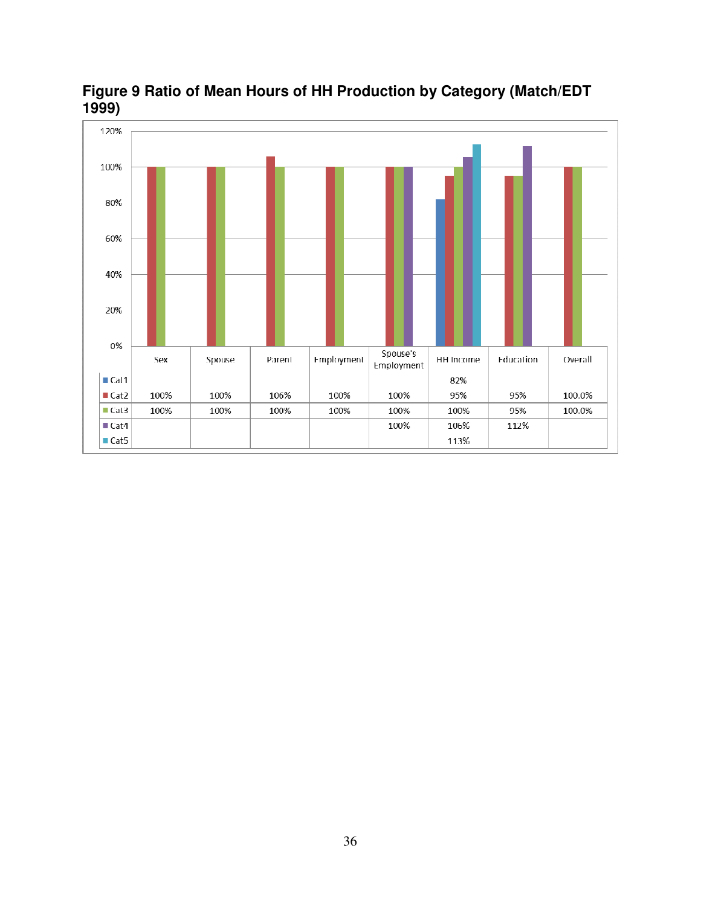

**Figure 9 Ratio of Mean Hours of HH Production by Category (Match/EDT 1999)**